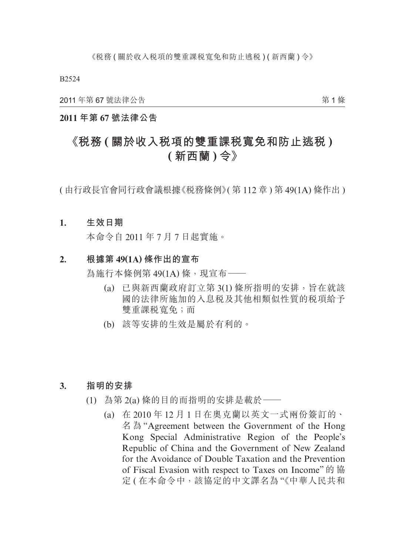2011 年第 67 號法律公告

第 1 條

## **2011 年第 67 號法律公告**

# **《稅務 ( 關於收入稅項的雙重課稅寬免和防止逃稅 ) ( 新西蘭 ) 令》**

( 由行政長官會同行政會議根據《稅務條例》( 第 112 章 ) 第 49(1A) 條作出 )

#### **1. 生效日期**

本命令自 2011 年 7 月 7 日起實施。

#### **2. 根據第 49(1A) 條作出的宣布**

為施行本條例第 49(1A) 條,現宣布––

- (a) 已與新西蘭政府訂立第 3(1) 條所指明的安排,旨在就該 國的法律所施加的入息税及其他相類似性質的税項給予 雙重課稅寬免;而
- (b) 該等安排的生效是屬於有利的。

#### **3. 指明的安排**

- (1) 為第 2(a) 條的目的而指明的安排是載於——
	- (a) 在 2010 年 12 月 1 日在奧克蘭以英文一式兩份簽訂的、 名 為 "Agreement between the Government of the Hong Kong Special Administrative Region of the People's Republic of China and the Government of New Zealand for the Avoidance of Double Taxation and the Prevention of Fiscal Evasion with respect to Taxes on Income" 的 協 定 ( 在本命令中,該協定的中文譯名為 "《中華人民共和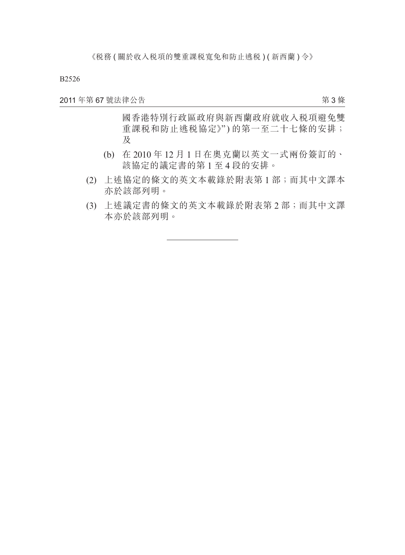2011 年第 67 號法律公告

第 3 條

國香港特別行政區政府與新西蘭政府就收入稅項避免雙 重課税和防止逃税協定》") 的第一至二十七條的安排; 及

- (b) 在 2010 年 12 月 1 日在奧克蘭以英文一式兩份簽訂的、 該協定的議定書的第 1 至 4 段的安排。
- (2) 上述協定的條文的英文本載錄於附表第 1 部;而其中文譯本 亦於該部列明。
- (3) 上述議定書的條文的英文本載錄於附表第 2 部;而其中文譯 本亦於該部列明。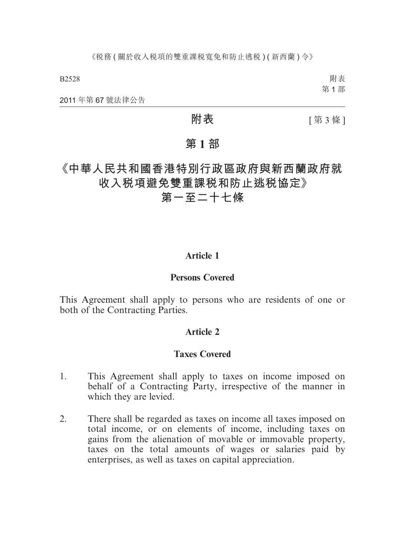附表 第 1 部

2011 年第 67 號法律公告

**附表 [第3條]** 

## **第 1 部**

**《中華人民共和國香港特別行政區政府與新西蘭政府就 收入稅項避免雙重課稅和防止逃稅協定》**

**第一至二十七條**

## **Article 1**

### **Persons Covered**

This Agreement shall apply to persons who are residents of one or both of the Contracting Parties.

### **Article 2**

#### **Taxes Covered**

- 1. This Agreement shall apply to taxes on income imposed on behalf of a Contracting Party, irrespective of the manner in which they are levied.
- 2. There shall be regarded as taxes on income all taxes imposed on total income, or on elements of income, including taxes on gains from the alienation of movable or immovable property, taxes on the total amounts of wages or salaries paid by enterprises, as well as taxes on capital appreciation.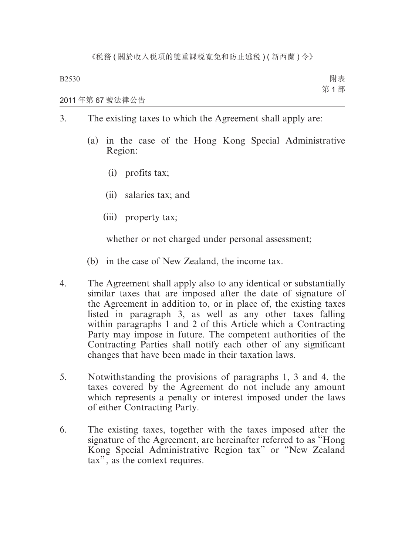#### 2011 年第 67 號法律公告

- 3. The existing taxes to which the Agreement shall apply are:
	- (a) in the case of the Hong Kong Special Administrative Region:
		- (i) profits tax;
		- (ii) salaries tax; and
		- (iii) property tax;

whether or not charged under personal assessment;

- (b) in the case of New Zealand, the income tax.
- 4. The Agreement shall apply also to any identical or substantially similar taxes that are imposed after the date of signature of the Agreement in addition to, or in place of, the existing taxes listed in paragraph 3, as well as any other taxes falling within paragraphs 1 and 2 of this Article which a Contracting Party may impose in future. The competent authorities of the Contracting Parties shall notify each other of any significant changes that have been made in their taxation laws.
- 5. Notwithstanding the provisions of paragraphs 1, 3 and 4, the taxes covered by the Agreement do not include any amount which represents a penalty or interest imposed under the laws of either Contracting Party.
- 6. The existing taxes, together with the taxes imposed after the signature of the Agreement, are hereinafter referred to as "Hong Kong Special Administrative Region tax" or "New Zealand tax", as the context requires.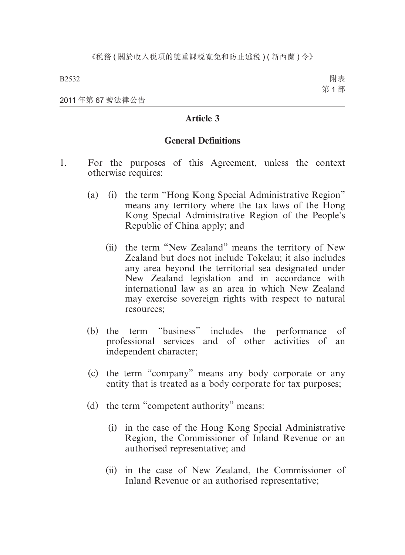附表 第 1 部

2011 年第 67 號法律公告

## **Article 3**

#### **General Definitions**

- 1. For the purposes of this Agreement, unless the context otherwise requires:
	- (a) (i) the term "Hong Kong Special Administrative Region" means any territory where the tax laws of the Hong Kong Special Administrative Region of the People's Republic of China apply; and
		- (ii) the term "New Zealand" means the territory of New Zealand but does not include Tokelau; it also includes any area beyond the territorial sea designated under New Zealand legislation and in accordance with international law as an area in which New Zealand may exercise sovereign rights with respect to natural resources;
	- (b) the term "business" includes the performance of professional services and of other activities of an independent character;
	- (c) the term "company" means any body corporate or any entity that is treated as a body corporate for tax purposes;
	- (d) the term "competent authority" means:
		- (i) in the case of the Hong Kong Special Administrative Region, the Commissioner of Inland Revenue or an authorised representative; and
		- (ii) in the case of New Zealand, the Commissioner of Inland Revenue or an authorised representative;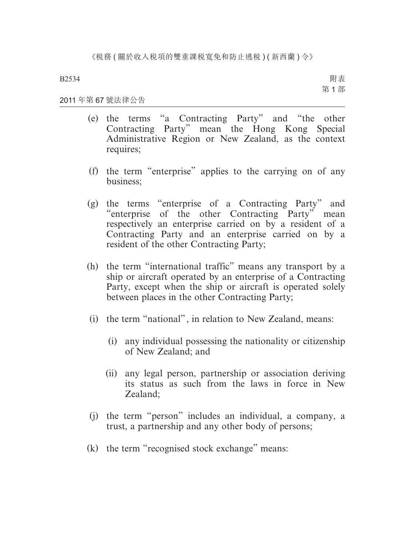附表 第 1 部

#### 2011 年第 67 號法律公告

- (e) the terms "a Contracting Party" and "the other Contracting Party" mean the Hong Kong Special Administrative Region or New Zealand, as the context requires;
- (f) the term "enterprise" applies to the carrying on of any business;
- (g) the terms "enterprise of a Contracting Party" and "enterprise of the other Contracting Party" mean respectively an enterprise carried on by a resident of a Contracting Party and an enterprise carried on by a resident of the other Contracting Party;
- (h) the term "international traffic" means any transport by a ship or aircraft operated by an enterprise of a Contracting Party, except when the ship or aircraft is operated solely between places in the other Contracting Party;
- (i) the term "national", in relation to New Zealand, means:
	- (i) any individual possessing the nationality or citizenship of New Zealand; and
	- (ii) any legal person, partnership or association deriving its status as such from the laws in force in New Zealand;
- (j) the term "person" includes an individual, a company, a trust, a partnership and any other body of persons;
- (k) the term "recognised stock exchange" means: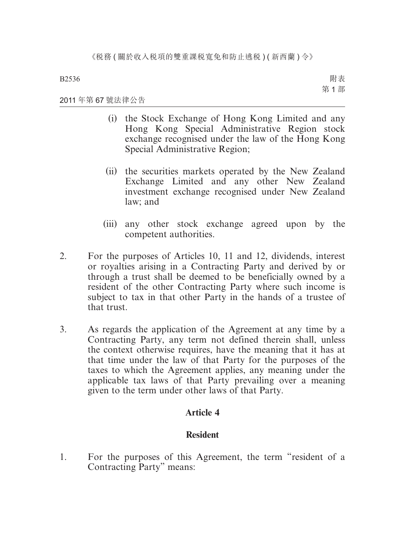附表 第 1 部

#### 2011 年第 67 號法律公告

- (i) the Stock Exchange of Hong Kong Limited and any Hong Kong Special Administrative Region stock exchange recognised under the law of the Hong Kong Special Administrative Region;
- (ii) the securities markets operated by the New Zealand Exchange Limited and any other New Zealand investment exchange recognised under New Zealand law; and
- (iii) any other stock exchange agreed upon by the competent authorities.
- 2. For the purposes of Articles 10, 11 and 12, dividends, interest or royalties arising in a Contracting Party and derived by or through a trust shall be deemed to be beneficially owned by a resident of the other Contracting Party where such income is subject to tax in that other Party in the hands of a trustee of that trust.
- 3. As regards the application of the Agreement at any time by a Contracting Party, any term not defined therein shall, unless the context otherwise requires, have the meaning that it has at that time under the law of that Party for the purposes of the taxes to which the Agreement applies, any meaning under the applicable tax laws of that Party prevailing over a meaning given to the term under other laws of that Party.

## **Article 4**

## **Resident**

1. For the purposes of this Agreement, the term "resident of a Contracting Party" means: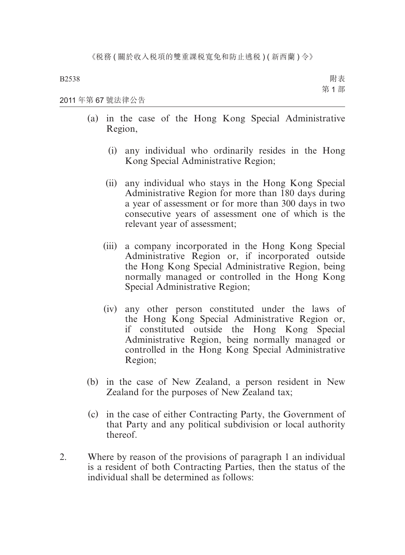附表 第 1 部

2011 年第 67 號法律公告

- (a) in the case of the Hong Kong Special Administrative Region,
	- (i) any individual who ordinarily resides in the Hong Kong Special Administrative Region;
	- (ii) any individual who stays in the Hong Kong Special Administrative Region for more than 180 days during a year of assessment or for more than 300 days in two consecutive years of assessment one of which is the relevant year of assessment;
	- (iii) a company incorporated in the Hong Kong Special Administrative Region or, if incorporated outside the Hong Kong Special Administrative Region, being normally managed or controlled in the Hong Kong Special Administrative Region;
	- (iv) any other person constituted under the laws of the Hong Kong Special Administrative Region or, if constituted outside the Hong Kong Special Administrative Region, being normally managed or controlled in the Hong Kong Special Administrative Region;
- (b) in the case of New Zealand, a person resident in New Zealand for the purposes of New Zealand tax;
- (c) in the case of either Contracting Party, the Government of that Party and any political subdivision or local authority thereof.
- 2. Where by reason of the provisions of paragraph 1 an individual is a resident of both Contracting Parties, then the status of the individual shall be determined as follows: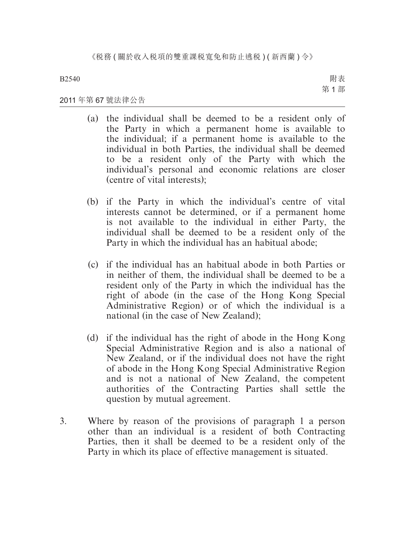附表 第 1 部

#### 2011 年第 67 號法律公告

- (a) the individual shall be deemed to be a resident only of the Party in which a permanent home is available to the individual; if a permanent home is available to the individual in both Parties, the individual shall be deemed to be a resident only of the Party with which the individual's personal and economic relations are closer (centre of vital interests);
- (b) if the Party in which the individual's centre of vital interests cannot be determined, or if a permanent home is not available to the individual in either Party, the individual shall be deemed to be a resident only of the Party in which the individual has an habitual abode;
- (c) if the individual has an habitual abode in both Parties or in neither of them, the individual shall be deemed to be a resident only of the Party in which the individual has the right of abode (in the case of the Hong Kong Special Administrative Region) or of which the individual is a national (in the case of New Zealand);
- (d) if the individual has the right of abode in the Hong Kong Special Administrative Region and is also a national of New Zealand, or if the individual does not have the right of abode in the Hong Kong Special Administrative Region and is not a national of New Zealand, the competent authorities of the Contracting Parties shall settle the question by mutual agreement.
- 3. Where by reason of the provisions of paragraph 1 a person other than an individual is a resident of both Contracting Parties, then it shall be deemed to be a resident only of the Party in which its place of effective management is situated.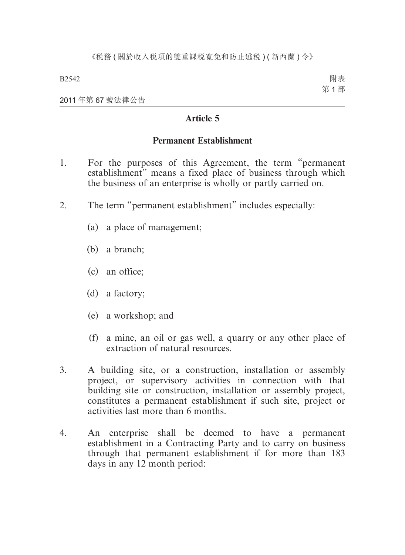2011 年第 67 號法律公告

## **Article 5**

## **Permanent Establishment**

- 1. For the purposes of this Agreement, the term "permanent establishment" means a fixed place of business through which the business of an enterprise is wholly or partly carried on.
- 2. The term "permanent establishment" includes especially:
	- (a) a place of management;
	- (b) a branch;
	- (c) an office;
	- (d) a factory;
	- (e) a workshop; and
	- (f) a mine, an oil or gas well, a quarry or any other place of extraction of natural resources.
- 3. A building site, or a construction, installation or assembly project, or supervisory activities in connection with that building site or construction, installation or assembly project, constitutes a permanent establishment if such site, project or activities last more than 6 months.
- 4. An enterprise shall be deemed to have a permanent establishment in a Contracting Party and to carry on business through that permanent establishment if for more than 183 days in any 12 month period: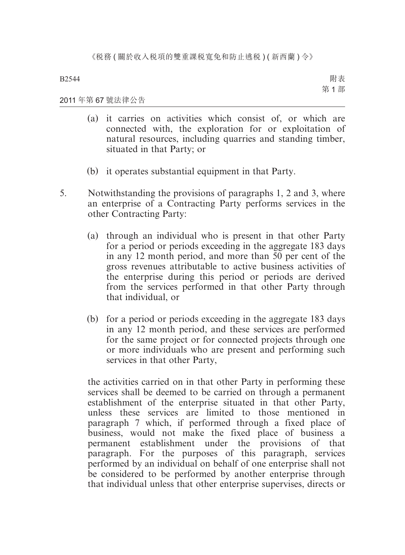附表 第 1 部

#### 2011 年第 67 號法律公告

- (a) it carries on activities which consist of, or which are connected with, the exploration for or exploitation of natural resources, including quarries and standing timber, situated in that Party; or
- (b) it operates substantial equipment in that Party.
- 5. Notwithstanding the provisions of paragraphs 1, 2 and 3, where an enterprise of a Contracting Party performs services in the other Contracting Party:
	- (a) through an individual who is present in that other Party for a period or periods exceeding in the aggregate 183 days in any 12 month period, and more than 50 per cent of the gross revenues attributable to active business activities of the enterprise during this period or periods are derived from the services performed in that other Party through that individual, or
	- (b) for a period or periods exceeding in the aggregate 183 days in any 12 month period, and these services are performed for the same project or for connected projects through one or more individuals who are present and performing such services in that other Party,

the activities carried on in that other Party in performing these services shall be deemed to be carried on through a permanent establishment of the enterprise situated in that other Party, unless these services are limited to those mentioned in paragraph 7 which, if performed through a fixed place of business, would not make the fixed place of business a permanent establishment under the provisions of that paragraph. For the purposes of this paragraph, services performed by an individual on behalf of one enterprise shall not be considered to be performed by another enterprise through that individual unless that other enterprise supervises, directs or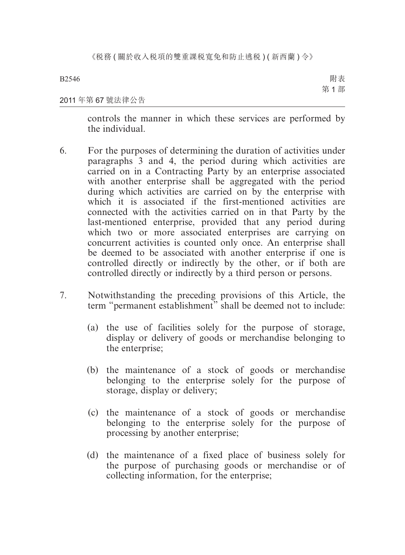附表 第 1 部

#### 2011 年第 67 號法律公告

controls the manner in which these services are performed by the individual.

- 6. For the purposes of determining the duration of activities under paragraphs 3 and 4, the period during which activities are carried on in a Contracting Party by an enterprise associated with another enterprise shall be aggregated with the period during which activities are carried on by the enterprise with which it is associated if the first-mentioned activities are connected with the activities carried on in that Party by the last-mentioned enterprise, provided that any period during which two or more associated enterprises are carrying on concurrent activities is counted only once. An enterprise shall be deemed to be associated with another enterprise if one is controlled directly or indirectly by the other, or if both are controlled directly or indirectly by a third person or persons.
- 7. Notwithstanding the preceding provisions of this Article, the term "permanent establishment" shall be deemed not to include:
	- (a) the use of facilities solely for the purpose of storage, display or delivery of goods or merchandise belonging to the enterprise;
	- (b) the maintenance of a stock of goods or merchandise belonging to the enterprise solely for the purpose of storage, display or delivery;
	- (c) the maintenance of a stock of goods or merchandise belonging to the enterprise solely for the purpose of processing by another enterprise;
	- (d) the maintenance of a fixed place of business solely for the purpose of purchasing goods or merchandise or of collecting information, for the enterprise;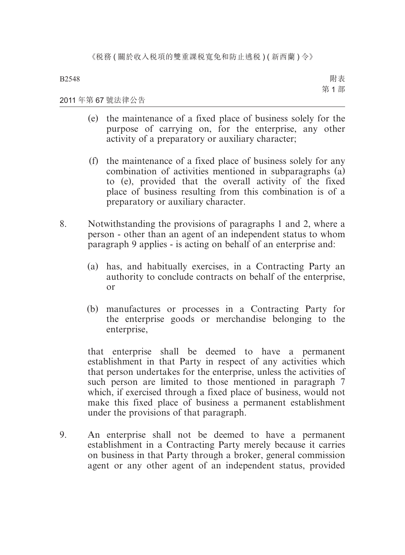附表 第 1 部

#### 2011 年第 67 號法律公告

- (e) the maintenance of a fixed place of business solely for the purpose of carrying on, for the enterprise, any other activity of a preparatory or auxiliary character;
- (f) the maintenance of a fixed place of business solely for any combination of activities mentioned in subparagraphs (a) to (e), provided that the overall activity of the fixed place of business resulting from this combination is of a preparatory or auxiliary character.
- 8. Notwithstanding the provisions of paragraphs 1 and 2, where a person - other than an agent of an independent status to whom paragraph 9 applies - is acting on behalf of an enterprise and:
	- (a) has, and habitually exercises, in a Contracting Party an authority to conclude contracts on behalf of the enterprise, or
	- (b) manufactures or processes in a Contracting Party for the enterprise goods or merchandise belonging to the enterprise,

that enterprise shall be deemed to have a permanent establishment in that Party in respect of any activities which that person undertakes for the enterprise, unless the activities of such person are limited to those mentioned in paragraph 7 which, if exercised through a fixed place of business, would not make this fixed place of business a permanent establishment under the provisions of that paragraph.

9. An enterprise shall not be deemed to have a permanent establishment in a Contracting Party merely because it carries on business in that Party through a broker, general commission agent or any other agent of an independent status, provided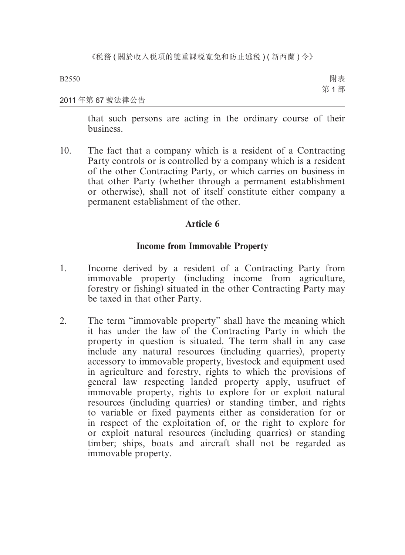《税務(關於收入税項的雙重課税寬免和防止逃税)(新西蘭)令》

B2550

附表 第 1 部

#### 2011 年第 67 號法律公告

that such persons are acting in the ordinary course of their business.

10. The fact that a company which is a resident of a Contracting Party controls or is controlled by a company which is a resident of the other Contracting Party, or which carries on business in that other Party (whether through a permanent establishment or otherwise), shall not of itself constitute either company a permanent establishment of the other.

## **Article 6**

## **Income from Immovable Property**

- 1. Income derived by a resident of a Contracting Party from immovable property (including income from agriculture, forestry or fishing) situated in the other Contracting Party may be taxed in that other Party.
- 2. The term "immovable property" shall have the meaning which it has under the law of the Contracting Party in which the property in question is situated. The term shall in any case include any natural resources (including quarries), property accessory to immovable property, livestock and equipment used in agriculture and forestry, rights to which the provisions of general law respecting landed property apply, usufruct of immovable property, rights to explore for or exploit natural resources (including quarries) or standing timber, and rights to variable or fixed payments either as consideration for or in respect of the exploitation of, or the right to explore for or exploit natural resources (including quarries) or standing timber; ships, boats and aircraft shall not be regarded as immovable property.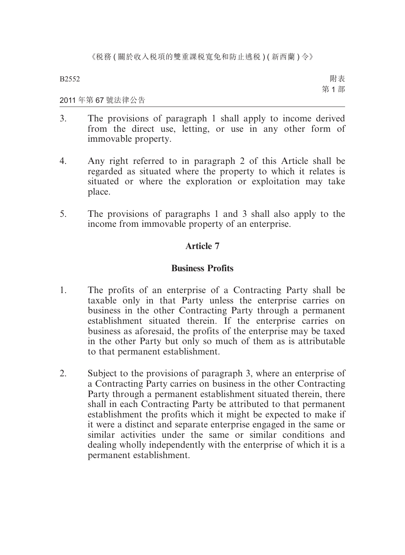附表 第 1 部

#### 2011 年第 67 號法律公告

- 3. The provisions of paragraph 1 shall apply to income derived from the direct use, letting, or use in any other form of immovable property.
- 4. Any right referred to in paragraph 2 of this Article shall be regarded as situated where the property to which it relates is situated or where the exploration or exploitation may take place.
- 5. The provisions of paragraphs 1 and 3 shall also apply to the income from immovable property of an enterprise.

## **Article 7**

## **Business Profits**

- 1. The profits of an enterprise of a Contracting Party shall be taxable only in that Party unless the enterprise carries on business in the other Contracting Party through a permanent establishment situated therein. If the enterprise carries on business as aforesaid, the profits of the enterprise may be taxed in the other Party but only so much of them as is attributable to that permanent establishment.
- 2. Subject to the provisions of paragraph 3, where an enterprise of a Contracting Party carries on business in the other Contracting Party through a permanent establishment situated therein, there shall in each Contracting Party be attributed to that permanent establishment the profits which it might be expected to make if it were a distinct and separate enterprise engaged in the same or similar activities under the same or similar conditions and dealing wholly independently with the enterprise of which it is a permanent establishment.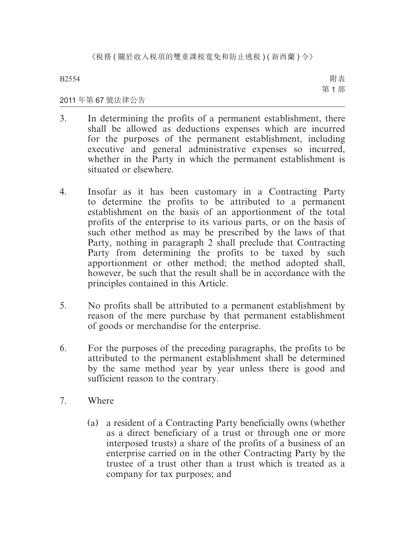附表 第 1 部

#### 2011 年第 67 號法律公告

- 3. In determining the profits of a permanent establishment, there shall be allowed as deductions expenses which are incurred for the purposes of the permanent establishment, including executive and general administrative expenses so incurred, whether in the Party in which the permanent establishment is situated or elsewhere.
- 4. Insofar as it has been customary in a Contracting Party to determine the profits to be attributed to a permanent establishment on the basis of an apportionment of the total profits of the enterprise to its various parts, or on the basis of such other method as may be prescribed by the laws of that Party, nothing in paragraph 2 shall preclude that Contracting Party from determining the profits to be taxed by such apportionment or other method; the method adopted shall, however, be such that the result shall be in accordance with the principles contained in this Article.
- 5. No profits shall be attributed to a permanent establishment by reason of the mere purchase by that permanent establishment of goods or merchandise for the enterprise.
- 6. For the purposes of the preceding paragraphs, the profits to be attributed to the permanent establishment shall be determined by the same method year by year unless there is good and sufficient reason to the contrary.
- 7. Where
	- (a) a resident of a Contracting Party beneficially owns (whether as a direct beneficiary of a trust or through one or more interposed trusts) a share of the profits of a business of an enterprise carried on in the other Contracting Party by the trustee of a trust other than a trust which is treated as a company for tax purposes; and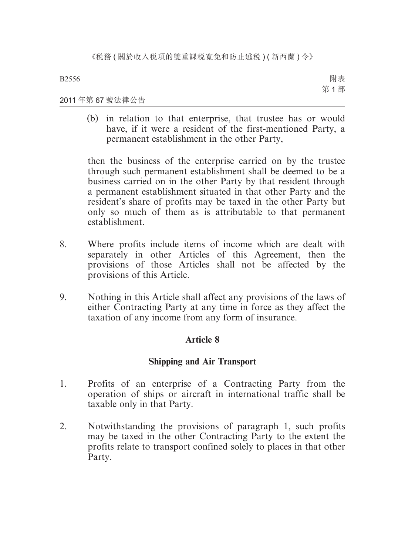附表 第 1 部

#### 2011 年第 67 號法律公告

(b) in relation to that enterprise, that trustee has or would have, if it were a resident of the first-mentioned Party, a permanent establishment in the other Party,

then the business of the enterprise carried on by the trustee through such permanent establishment shall be deemed to be a business carried on in the other Party by that resident through a permanent establishment situated in that other Party and the resident's share of profits may be taxed in the other Party but only so much of them as is attributable to that permanent establishment.

- 8. Where profits include items of income which are dealt with separately in other Articles of this Agreement, then the provisions of those Articles shall not be affected by the provisions of this Article.
- 9. Nothing in this Article shall affect any provisions of the laws of either Contracting Party at any time in force as they affect the taxation of any income from any form of insurance.

## **Article 8**

## **Shipping and Air Transport**

- 1. Profits of an enterprise of a Contracting Party from the operation of ships or aircraft in international traffic shall be taxable only in that Party.
- 2. Notwithstanding the provisions of paragraph 1, such profits may be taxed in the other Contracting Party to the extent the profits relate to transport confined solely to places in that other Party.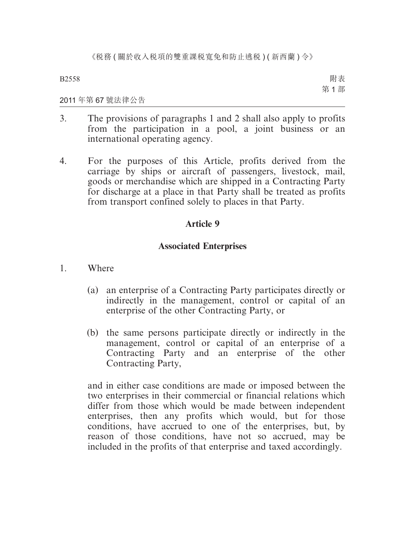附表 第 1 部

#### 2011 年第 67 號法律公告

- 3. The provisions of paragraphs 1 and 2 shall also apply to profits from the participation in a pool, a joint business or an international operating agency.
- 4. For the purposes of this Article, profits derived from the carriage by ships or aircraft of passengers, livestock, mail, goods or merchandise which are shipped in a Contracting Party for discharge at a place in that Party shall be treated as profits from transport confined solely to places in that Party.

## **Article 9**

## **Associated Enterprises**

- 1. Where
	- (a) an enterprise of a Contracting Party participates directly or indirectly in the management, control or capital of an enterprise of the other Contracting Party, or
	- (b) the same persons participate directly or indirectly in the management, control or capital of an enterprise of a Contracting Party and an enterprise of the other Contracting Party,

and in either case conditions are made or imposed between the two enterprises in their commercial or financial relations which differ from those which would be made between independent enterprises, then any profits which would, but for those conditions, have accrued to one of the enterprises, but, by reason of those conditions, have not so accrued, may be included in the profits of that enterprise and taxed accordingly.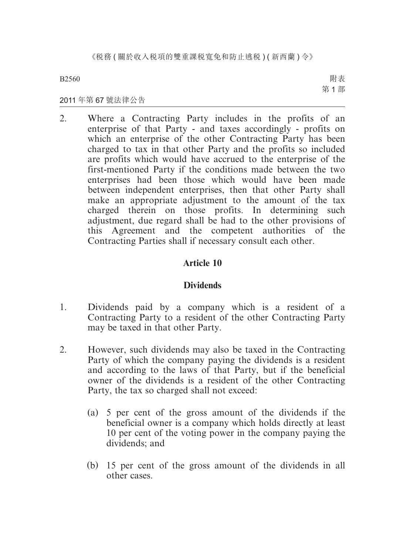《税務 ( 關於收入税項的雙重課税寬免和防止逃税 ) ( 新西蘭 ) 令》

B2560

附表 第 1 部

#### 2011 年第 67 號法律公告

2. Where a Contracting Party includes in the profits of an enterprise of that Party - and taxes accordingly - profits on which an enterprise of the other Contracting Party has been charged to tax in that other Party and the profits so included are profits which would have accrued to the enterprise of the first-mentioned Party if the conditions made between the two enterprises had been those which would have been made between independent enterprises, then that other Party shall make an appropriate adjustment to the amount of the tax charged therein on those profits. In determining such adjustment, due regard shall be had to the other provisions of this Agreement and the competent authorities of the Contracting Parties shall if necessary consult each other.

## **Article 10**

## **Dividends**

- 1. Dividends paid by a company which is a resident of a Contracting Party to a resident of the other Contracting Party may be taxed in that other Party.
- 2. However, such dividends may also be taxed in the Contracting Party of which the company paying the dividends is a resident and according to the laws of that Party, but if the beneficial owner of the dividends is a resident of the other Contracting Party, the tax so charged shall not exceed:
	- (a) 5 per cent of the gross amount of the dividends if the beneficial owner is a company which holds directly at least 10 per cent of the voting power in the company paying the dividends; and
	- (b) 15 per cent of the gross amount of the dividends in all other cases.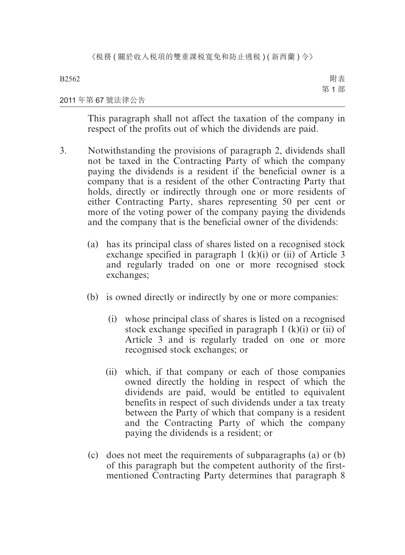附表 第 1 部

#### 2011 年第 67 號法律公告

This paragraph shall not affect the taxation of the company in respect of the profits out of which the dividends are paid.

- 3. Notwithstanding the provisions of paragraph 2, dividends shall not be taxed in the Contracting Party of which the company paying the dividends is a resident if the beneficial owner is a company that is a resident of the other Contracting Party that holds, directly or indirectly through one or more residents of either Contracting Party, shares representing 50 per cent or more of the voting power of the company paying the dividends and the company that is the beneficial owner of the dividends:
	- (a) has its principal class of shares listed on a recognised stock exchange specified in paragraph 1 (k)(i) or (ii) of Article 3 and regularly traded on one or more recognised stock exchanges;
	- (b) is owned directly or indirectly by one or more companies:
		- (i) whose principal class of shares is listed on a recognised stock exchange specified in paragraph  $1$  (k)(i) or (ii) of Article 3 and is regularly traded on one or more recognised stock exchanges; or
		- (ii) which, if that company or each of those companies owned directly the holding in respect of which the dividends are paid, would be entitled to equivalent benefits in respect of such dividends under a tax treaty between the Party of which that company is a resident and the Contracting Party of which the company paying the dividends is a resident; or
	- (c) does not meet the requirements of subparagraphs (a) or (b) of this paragraph but the competent authority of the firstmentioned Contracting Party determines that paragraph 8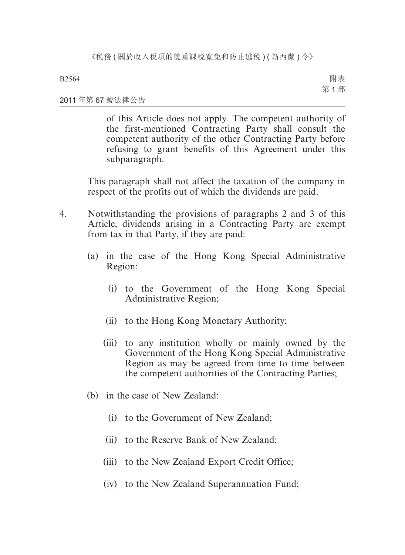附表 第 1 部

#### 2011 年第 67 號法律公告

of this Article does not apply. The competent authority of the first-mentioned Contracting Party shall consult the competent authority of the other Contracting Party before refusing to grant benefits of this Agreement under this subparagraph.

This paragraph shall not affect the taxation of the company in respect of the profits out of which the dividends are paid.

- 4. Notwithstanding the provisions of paragraphs 2 and 3 of this Article, dividends arising in a Contracting Party are exempt from tax in that Party, if they are paid:
	- (a) in the case of the Hong Kong Special Administrative Region:
		- (i) to the Government of the Hong Kong Special Administrative Region;
		- (ii) to the Hong Kong Monetary Authority;
		- (iii) to any institution wholly or mainly owned by the Government of the Hong Kong Special Administrative Region as may be agreed from time to time between the competent authorities of the Contracting Parties;
	- (b) in the case of New Zealand:
		- (i) to the Government of New Zealand;
		- (ii) to the Reserve Bank of New Zealand;
		- (iii) to the New Zealand Export Credit Office;
		- (iv) to the New Zealand Superannuation Fund;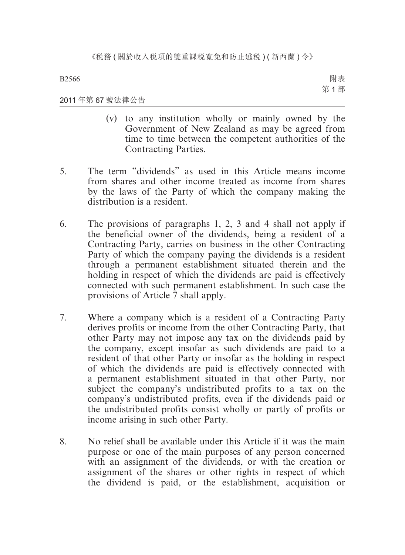2011 年第 67 號法律公告

附表 第 1 部

(v) to any institution wholly or mainly owned by the Government of New Zealand as may be agreed from time to time between the competent authorities of the

Contracting Parties.

- 5. The term "dividends" as used in this Article means income from shares and other income treated as income from shares by the laws of the Party of which the company making the distribution is a resident.
- 6. The provisions of paragraphs 1, 2, 3 and 4 shall not apply if the beneficial owner of the dividends, being a resident of a Contracting Party, carries on business in the other Contracting Party of which the company paying the dividends is a resident through a permanent establishment situated therein and the holding in respect of which the dividends are paid is effectively connected with such permanent establishment. In such case the provisions of Article 7 shall apply.
- 7. Where a company which is a resident of a Contracting Party derives profits or income from the other Contracting Party, that other Party may not impose any tax on the dividends paid by the company, except insofar as such dividends are paid to a resident of that other Party or insofar as the holding in respect of which the dividends are paid is effectively connected with a permanent establishment situated in that other Party, nor subject the company's undistributed profits to a tax on the company's undistributed profits, even if the dividends paid or the undistributed profits consist wholly or partly of profits or income arising in such other Party.
- 8. No relief shall be available under this Article if it was the main purpose or one of the main purposes of any person concerned with an assignment of the dividends, or with the creation or assignment of the shares or other rights in respect of which the dividend is paid, or the establishment, acquisition or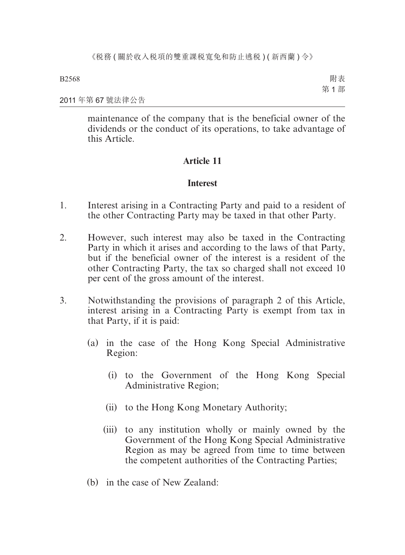附表 第 1 部

2011 年第 67 號法律公告

maintenance of the company that is the beneficial owner of the dividends or the conduct of its operations, to take advantage of this Article.

## **Article 11**

## **Interest**

- 1. Interest arising in a Contracting Party and paid to a resident of the other Contracting Party may be taxed in that other Party.
- 2. However, such interest may also be taxed in the Contracting Party in which it arises and according to the laws of that Party, but if the beneficial owner of the interest is a resident of the other Contracting Party, the tax so charged shall not exceed 10 per cent of the gross amount of the interest.
- 3. Notwithstanding the provisions of paragraph 2 of this Article, interest arising in a Contracting Party is exempt from tax in that Party, if it is paid:
	- (a) in the case of the Hong Kong Special Administrative Region:
		- (i) to the Government of the Hong Kong Special Administrative Region;
		- (ii) to the Hong Kong Monetary Authority;
		- (iii) to any institution wholly or mainly owned by the Government of the Hong Kong Special Administrative Region as may be agreed from time to time between the competent authorities of the Contracting Parties;
	- (b) in the case of New Zealand: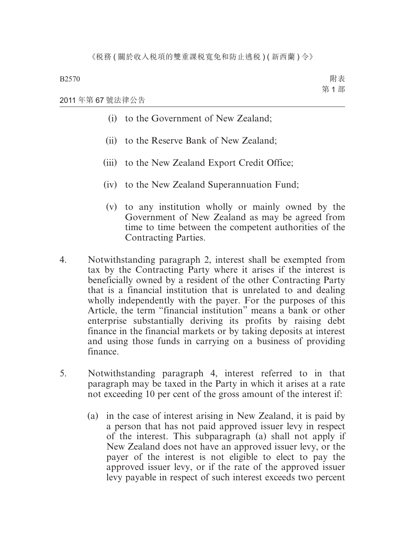附表 第 1 部

2011 年第 67 號法律公告

- (i) to the Government of New Zealand;
- (ii) to the Reserve Bank of New Zealand;
- (iii) to the New Zealand Export Credit Office;
- (iv) to the New Zealand Superannuation Fund;
- (v) to any institution wholly or mainly owned by the Government of New Zealand as may be agreed from time to time between the competent authorities of the Contracting Parties.
- 4. Notwithstanding paragraph 2, interest shall be exempted from tax by the Contracting Party where it arises if the interest is beneficially owned by a resident of the other Contracting Party that is a financial institution that is unrelated to and dealing wholly independently with the payer. For the purposes of this Article, the term "financial institution" means a bank or other enterprise substantially deriving its profits by raising debt finance in the financial markets or by taking deposits at interest and using those funds in carrying on a business of providing finance.
- 5. Notwithstanding paragraph 4, interest referred to in that paragraph may be taxed in the Party in which it arises at a rate not exceeding 10 per cent of the gross amount of the interest if:
	- (a) in the case of interest arising in New Zealand, it is paid by a person that has not paid approved issuer levy in respect of the interest. This subparagraph (a) shall not apply if New Zealand does not have an approved issuer levy, or the payer of the interest is not eligible to elect to pay the approved issuer levy, or if the rate of the approved issuer levy payable in respect of such interest exceeds two percent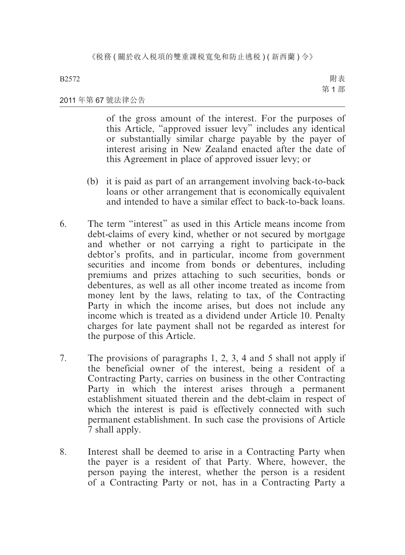附表 第 1 部

#### 2011 年第 67 號法律公告

of the gross amount of the interest. For the purposes of this Article, "approved issuer levy" includes any identical or substantially similar charge payable by the payer of interest arising in New Zealand enacted after the date of this Agreement in place of approved issuer levy; or

- (b) it is paid as part of an arrangement involving back-to-back loans or other arrangement that is economically equivalent and intended to have a similar effect to back-to-back loans.
- 6. The term "interest" as used in this Article means income from debt-claims of every kind, whether or not secured by mortgage and whether or not carrying a right to participate in the debtor's profits, and in particular, income from government securities and income from bonds or debentures, including premiums and prizes attaching to such securities, bonds or debentures, as well as all other income treated as income from money lent by the laws, relating to tax, of the Contracting Party in which the income arises, but does not include any income which is treated as a dividend under Article 10. Penalty charges for late payment shall not be regarded as interest for the purpose of this Article.
- 7. The provisions of paragraphs 1, 2, 3, 4 and 5 shall not apply if the beneficial owner of the interest, being a resident of a Contracting Party, carries on business in the other Contracting Party in which the interest arises through a permanent establishment situated therein and the debt-claim in respect of which the interest is paid is effectively connected with such permanent establishment. In such case the provisions of Article 7 shall apply.
- 8. Interest shall be deemed to arise in a Contracting Party when the payer is a resident of that Party. Where, however, the person paying the interest, whether the person is a resident of a Contracting Party or not, has in a Contracting Party a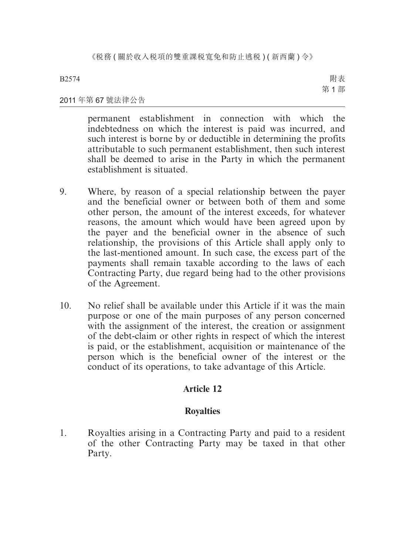《税務(關於收入税項的雙重課税寬免和防止逃税)(新西蘭)令》

B2574

附表 第 1 部

#### 2011 年第 67 號法律公告

permanent establishment in connection with which the indebtedness on which the interest is paid was incurred, and such interest is borne by or deductible in determining the profits attributable to such permanent establishment, then such interest shall be deemed to arise in the Party in which the permanent establishment is situated.

- 9. Where, by reason of a special relationship between the payer and the beneficial owner or between both of them and some other person, the amount of the interest exceeds, for whatever reasons, the amount which would have been agreed upon by the payer and the beneficial owner in the absence of such relationship, the provisions of this Article shall apply only to the last-mentioned amount. In such case, the excess part of the payments shall remain taxable according to the laws of each Contracting Party, due regard being had to the other provisions of the Agreement.
- 10. No relief shall be available under this Article if it was the main purpose or one of the main purposes of any person concerned with the assignment of the interest, the creation or assignment of the debt-claim or other rights in respect of which the interest is paid, or the establishment, acquisition or maintenance of the person which is the beneficial owner of the interest or the conduct of its operations, to take advantage of this Article.

## **Article 12**

## **Royalties**

1. Royalties arising in a Contracting Party and paid to a resident of the other Contracting Party may be taxed in that other Party.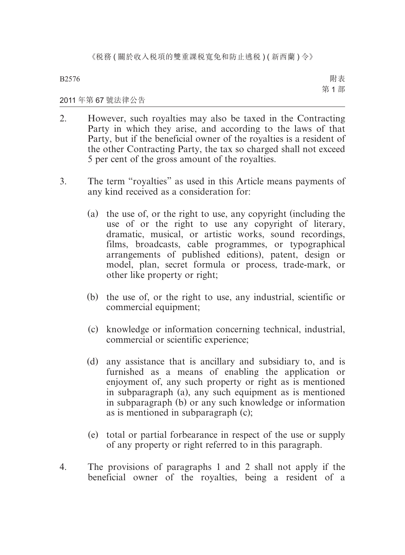附表 第 1 部

#### 2011 年第 67 號法律公告

- 2. However, such royalties may also be taxed in the Contracting Party in which they arise, and according to the laws of that Party, but if the beneficial owner of the royalties is a resident of the other Contracting Party, the tax so charged shall not exceed 5 per cent of the gross amount of the royalties.
- 3. The term "royalties" as used in this Article means payments of any kind received as a consideration for:
	- (a) the use of, or the right to use, any copyright (including the use of or the right to use any copyright of literary, dramatic, musical, or artistic works, sound recordings, films, broadcasts, cable programmes, or typographical arrangements of published editions), patent, design or model, plan, secret formula or process, trade-mark, or other like property or right;
	- (b) the use of, or the right to use, any industrial, scientific or commercial equipment;
	- (c) knowledge or information concerning technical, industrial, commercial or scientific experience;
	- (d) any assistance that is ancillary and subsidiary to, and is furnished as a means of enabling the application or enjoyment of, any such property or right as is mentioned in subparagraph (a), any such equipment as is mentioned in subparagraph (b) or any such knowledge or information as is mentioned in subparagraph (c);
	- (e) total or partial forbearance in respect of the use or supply of any property or right referred to in this paragraph.
- 4. The provisions of paragraphs 1 and 2 shall not apply if the beneficial owner of the royalties, being a resident of a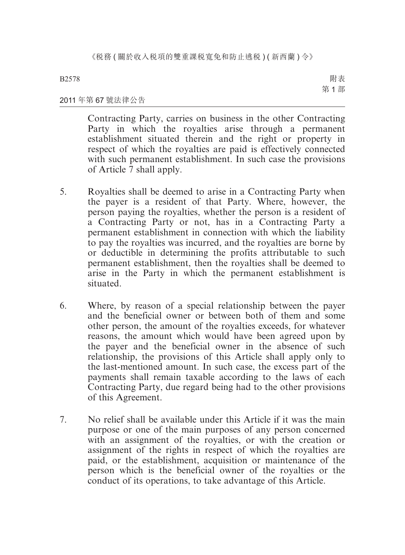附表 第 1 部

#### 2011 年第 67 號法律公告

Contracting Party, carries on business in the other Contracting Party in which the royalties arise through a permanent establishment situated therein and the right or property in respect of which the royalties are paid is effectively connected with such permanent establishment. In such case the provisions of Article 7 shall apply.

- 5. Royalties shall be deemed to arise in a Contracting Party when the payer is a resident of that Party. Where, however, the person paying the royalties, whether the person is a resident of a Contracting Party or not, has in a Contracting Party a permanent establishment in connection with which the liability to pay the royalties was incurred, and the royalties are borne by or deductible in determining the profits attributable to such permanent establishment, then the royalties shall be deemed to arise in the Party in which the permanent establishment is situated.
- 6. Where, by reason of a special relationship between the payer and the beneficial owner or between both of them and some other person, the amount of the royalties exceeds, for whatever reasons, the amount which would have been agreed upon by the payer and the beneficial owner in the absence of such relationship, the provisions of this Article shall apply only to the last-mentioned amount. In such case, the excess part of the payments shall remain taxable according to the laws of each Contracting Party, due regard being had to the other provisions of this Agreement.
- 7. No relief shall be available under this Article if it was the main purpose or one of the main purposes of any person concerned with an assignment of the royalties, or with the creation or assignment of the rights in respect of which the royalties are paid, or the establishment, acquisition or maintenance of the person which is the beneficial owner of the royalties or the conduct of its operations, to take advantage of this Article.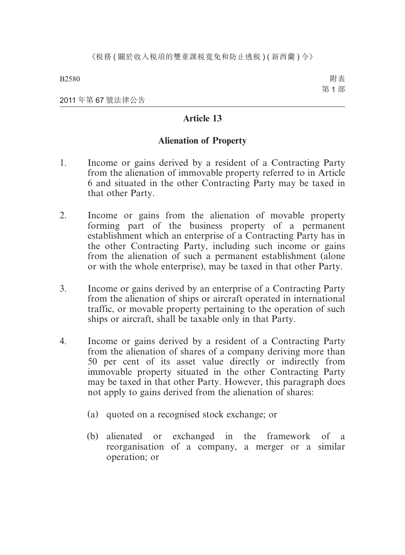附表 第 1 部

2011 年第 67 號法律公告

## **Article 13**

## **Alienation of Property**

- 1. Income or gains derived by a resident of a Contracting Party from the alienation of immovable property referred to in Article 6 and situated in the other Contracting Party may be taxed in that other Party.
- 2. Income or gains from the alienation of movable property forming part of the business property of a permanent establishment which an enterprise of a Contracting Party has in the other Contracting Party, including such income or gains from the alienation of such a permanent establishment (alone or with the whole enterprise), may be taxed in that other Party.
- 3. Income or gains derived by an enterprise of a Contracting Party from the alienation of ships or aircraft operated in international traffic, or movable property pertaining to the operation of such ships or aircraft, shall be taxable only in that Party.
- 4. Income or gains derived by a resident of a Contracting Party from the alienation of shares of a company deriving more than 50 per cent of its asset value directly or indirectly from immovable property situated in the other Contracting Party may be taxed in that other Party. However, this paragraph does not apply to gains derived from the alienation of shares:
	- (a) quoted on a recognised stock exchange; or
	- (b) alienated or exchanged in the framework of a reorganisation of a company, a merger or a similar operation; or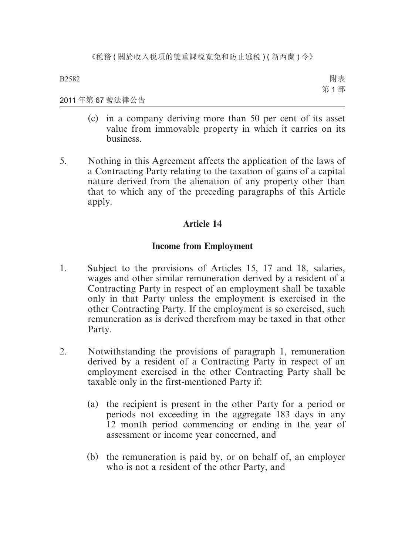附表 第 1 部

#### 2011 年第 67 號法律公告

- (c) in a company deriving more than 50 per cent of its asset value from immovable property in which it carries on its business.
- 5. Nothing in this Agreement affects the application of the laws of a Contracting Party relating to the taxation of gains of a capital nature derived from the alienation of any property other than that to which any of the preceding paragraphs of this Article apply.

## **Article 14**

## **Income from Employment**

- 1. Subject to the provisions of Articles 15, 17 and 18, salaries, wages and other similar remuneration derived by a resident of a Contracting Party in respect of an employment shall be taxable only in that Party unless the employment is exercised in the other Contracting Party. If the employment is so exercised, such remuneration as is derived therefrom may be taxed in that other Party.
- 2. Notwithstanding the provisions of paragraph 1, remuneration derived by a resident of a Contracting Party in respect of an employment exercised in the other Contracting Party shall be taxable only in the first-mentioned Party if:
	- (a) the recipient is present in the other Party for a period or periods not exceeding in the aggregate 183 days in any 12 month period commencing or ending in the year of assessment or income year concerned, and
	- (b) the remuneration is paid by, or on behalf of, an employer who is not a resident of the other Party, and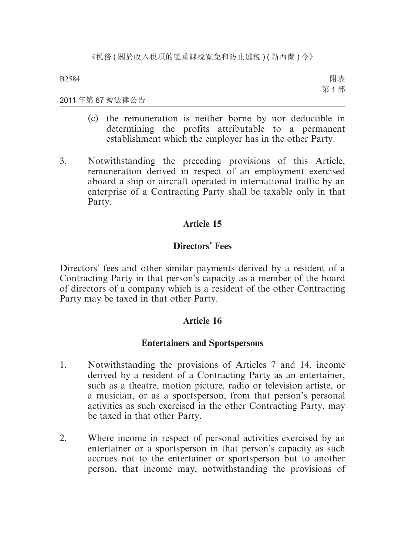附表 第 1 部

#### 2011 年第 67 號法律公告

- (c) the remuneration is neither borne by nor deductible in determining the profits attributable to a permanent establishment which the employer has in the other Party.
- 3. Notwithstanding the preceding provisions of this Article, remuneration derived in respect of an employment exercised aboard a ship or aircraft operated in international traffic by an enterprise of a Contracting Party shall be taxable only in that Party.

## **Article 15**

## **Directors' Fees**

Directors' fees and other similar payments derived by a resident of a Contracting Party in that person's capacity as a member of the board of directors of a company which is a resident of the other Contracting Party may be taxed in that other Party.

## **Article 16**

## **Entertainers and Sportspersons**

- 1. Notwithstanding the provisions of Articles 7 and 14, income derived by a resident of a Contracting Party as an entertainer, such as a theatre, motion picture, radio or television artiste, or a musician, or as a sportsperson, from that person's personal activities as such exercised in the other Contracting Party, may be taxed in that other Party.
- 2. Where income in respect of personal activities exercised by an entertainer or a sportsperson in that person's capacity as such accrues not to the entertainer or sportsperson but to another person, that income may, notwithstanding the provisions of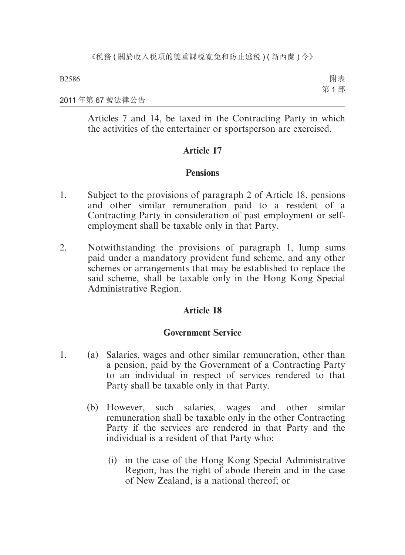附表 第 1 部

#### 2011 年第 67 號法律公告

Articles 7 and 14, be taxed in the Contracting Party in which the activities of the entertainer or sportsperson are exercised.

## **Article 17**

## **Pensions**

- 1. Subject to the provisions of paragraph 2 of Article 18, pensions and other similar remuneration paid to a resident of a Contracting Party in consideration of past employment or selfemployment shall be taxable only in that Party.
- 2. Notwithstanding the provisions of paragraph 1, lump sums paid under a mandatory provident fund scheme, and any other schemes or arrangements that may be established to replace the said scheme, shall be taxable only in the Hong Kong Special Administrative Region.

## **Article 18**

#### **Government Service**

- 1. (a) Salaries, wages and other similar remuneration, other than a pension, paid by the Government of a Contracting Party to an individual in respect of services rendered to that Party shall be taxable only in that Party.
	- (b) However, such salaries, wages and other similar remuneration shall be taxable only in the other Contracting Party if the services are rendered in that Party and the individual is a resident of that Party who:
		- (i) in the case of the Hong Kong Special Administrative Region, has the right of abode therein and in the case of New Zealand, is a national thereof; or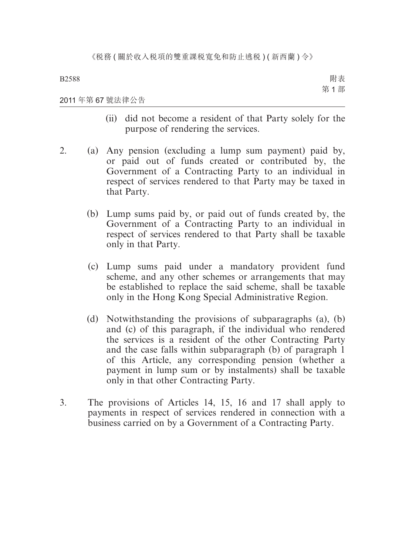附表 第 1 部

#### 2011 年第 67 號法律公告

- (ii) did not become a resident of that Party solely for the purpose of rendering the services.
- 2. (a) Any pension (excluding a lump sum payment) paid by, or paid out of funds created or contributed by, the Government of a Contracting Party to an individual in respect of services rendered to that Party may be taxed in that Party.
	- (b) Lump sums paid by, or paid out of funds created by, the Government of a Contracting Party to an individual in respect of services rendered to that Party shall be taxable only in that Party.
	- (c) Lump sums paid under a mandatory provident fund scheme, and any other schemes or arrangements that may be established to replace the said scheme, shall be taxable only in the Hong Kong Special Administrative Region.
	- (d) Notwithstanding the provisions of subparagraphs (a), (b) and (c) of this paragraph, if the individual who rendered the services is a resident of the other Contracting Party and the case falls within subparagraph (b) of paragraph 1 of this Article, any corresponding pension (whether a payment in lump sum or by instalments) shall be taxable only in that other Contracting Party.
- 3. The provisions of Articles 14, 15, 16 and 17 shall apply to payments in respect of services rendered in connection with a business carried on by a Government of a Contracting Party.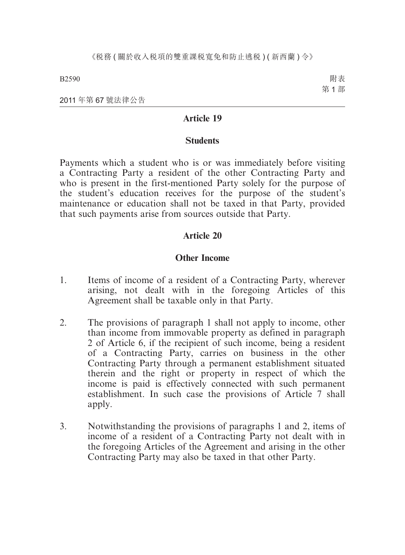附表 第 1 部

2011 年第 67 號法律公告

### **Article 19**

#### **Students**

Payments which a student who is or was immediately before visiting a Contracting Party a resident of the other Contracting Party and who is present in the first-mentioned Party solely for the purpose of the student's education receives for the purpose of the student's maintenance or education shall not be taxed in that Party, provided that such payments arise from sources outside that Party.

#### **Article 20**

#### **Other Income**

- 1. Items of income of a resident of a Contracting Party, wherever arising, not dealt with in the foregoing Articles of this Agreement shall be taxable only in that Party.
- 2. The provisions of paragraph 1 shall not apply to income, other than income from immovable property as defined in paragraph 2 of Article 6, if the recipient of such income, being a resident of a Contracting Party, carries on business in the other Contracting Party through a permanent establishment situated therein and the right or property in respect of which the income is paid is effectively connected with such permanent establishment. In such case the provisions of Article 7 shall apply.
- 3. Notwithstanding the provisions of paragraphs 1 and 2, items of income of a resident of a Contracting Party not dealt with in the foregoing Articles of the Agreement and arising in the other Contracting Party may also be taxed in that other Party.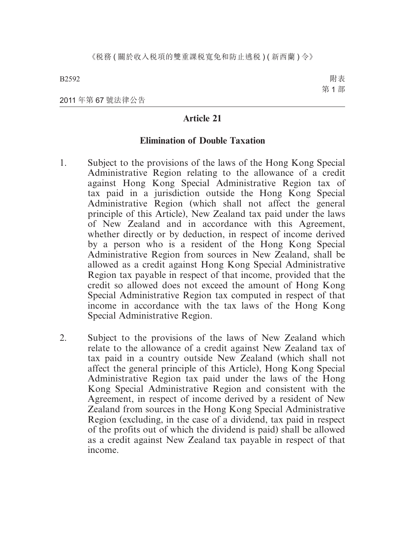附表 第 1 部

2011 年第 67 號法律公告

## **Article 21**

#### **Elimination of Double Taxation**

- 1. Subject to the provisions of the laws of the Hong Kong Special Administrative Region relating to the allowance of a credit against Hong Kong Special Administrative Region tax of tax paid in a jurisdiction outside the Hong Kong Special Administrative Region (which shall not affect the general principle of this Article), New Zealand tax paid under the laws of New Zealand and in accordance with this Agreement, whether directly or by deduction, in respect of income derived by a person who is a resident of the Hong Kong Special Administrative Region from sources in New Zealand, shall be allowed as a credit against Hong Kong Special Administrative Region tax payable in respect of that income, provided that the credit so allowed does not exceed the amount of Hong Kong Special Administrative Region tax computed in respect of that income in accordance with the tax laws of the Hong Kong Special Administrative Region.
- 2. Subject to the provisions of the laws of New Zealand which relate to the allowance of a credit against New Zealand tax of tax paid in a country outside New Zealand (which shall not affect the general principle of this Article), Hong Kong Special Administrative Region tax paid under the laws of the Hong Kong Special Administrative Region and consistent with the Agreement, in respect of income derived by a resident of New Zealand from sources in the Hong Kong Special Administrative Region (excluding, in the case of a dividend, tax paid in respect of the profits out of which the dividend is paid) shall be allowed as a credit against New Zealand tax payable in respect of that income.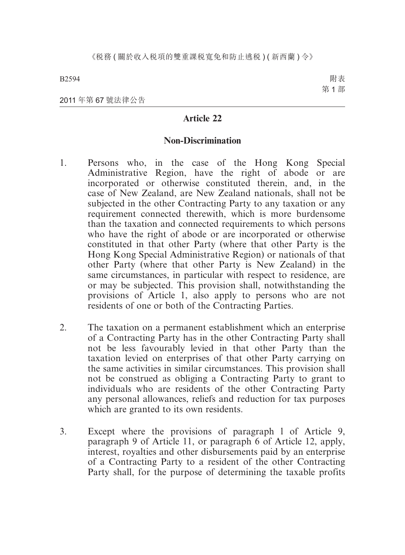附表 第 1 部

2011 年第 67 號法律公告

## **Article 22**

#### **Non-Discrimination**

- 1. Persons who, in the case of the Hong Kong Special Administrative Region, have the right of abode or are incorporated or otherwise constituted therein, and, in the case of New Zealand, are New Zealand nationals, shall not be subjected in the other Contracting Party to any taxation or any requirement connected therewith, which is more burdensome than the taxation and connected requirements to which persons who have the right of abode or are incorporated or otherwise constituted in that other Party (where that other Party is the Hong Kong Special Administrative Region) or nationals of that other Party (where that other Party is New Zealand) in the same circumstances, in particular with respect to residence, are or may be subjected. This provision shall, notwithstanding the provisions of Article 1, also apply to persons who are not residents of one or both of the Contracting Parties.
- 2. The taxation on a permanent establishment which an enterprise of a Contracting Party has in the other Contracting Party shall not be less favourably levied in that other Party than the taxation levied on enterprises of that other Party carrying on the same activities in similar circumstances. This provision shall not be construed as obliging a Contracting Party to grant to individuals who are residents of the other Contracting Party any personal allowances, reliefs and reduction for tax purposes which are granted to its own residents.
- 3. Except where the provisions of paragraph l of Article 9, paragraph 9 of Article 11, or paragraph 6 of Article 12, apply, interest, royalties and other disbursements paid by an enterprise of a Contracting Party to a resident of the other Contracting Party shall, for the purpose of determining the taxable profits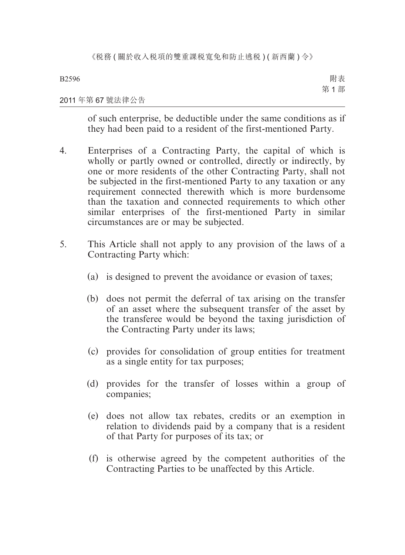附表 第 1 部

# 2011 年第 67 號法律公告

of such enterprise, be deductible under the same conditions as if they had been paid to a resident of the first-mentioned Party.

- 4. Enterprises of a Contracting Party, the capital of which is wholly or partly owned or controlled, directly or indirectly, by one or more residents of the other Contracting Party, shall not be subjected in the first-mentioned Party to any taxation or any requirement connected therewith which is more burdensome than the taxation and connected requirements to which other similar enterprises of the first-mentioned Party in similar circumstances are or may be subjected.
- 5. This Article shall not apply to any provision of the laws of a Contracting Party which:
	- (a) is designed to prevent the avoidance or evasion of taxes;
	- (b) does not permit the deferral of tax arising on the transfer of an asset where the subsequent transfer of the asset by the transferee would be beyond the taxing jurisdiction of the Contracting Party under its laws;
	- (c) provides for consolidation of group entities for treatment as a single entity for tax purposes;
	- (d) provides for the transfer of losses within a group of companies;
	- (e) does not allow tax rebates, credits or an exemption in relation to dividends paid by a company that is a resident of that Party for purposes of its tax; or
	- (f) is otherwise agreed by the competent authorities of the Contracting Parties to be unaffected by this Article.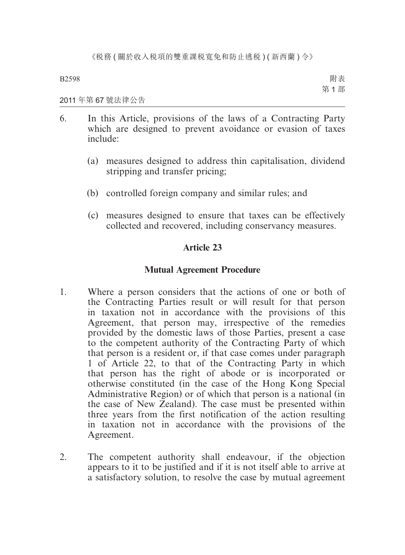附表 第 1 部

# 2011 年第 67 號法律公告

- 6. In this Article, provisions of the laws of a Contracting Party which are designed to prevent avoidance or evasion of taxes include:
	- (a) measures designed to address thin capitalisation, dividend stripping and transfer pricing;
	- (b) controlled foreign company and similar rules; and
	- (c) measures designed to ensure that taxes can be effectively collected and recovered, including conservancy measures.

# **Article 23**

# **Mutual Agreement Procedure**

- 1. Where a person considers that the actions of one or both of the Contracting Parties result or will result for that person in taxation not in accordance with the provisions of this Agreement, that person may, irrespective of the remedies provided by the domestic laws of those Parties, present a case to the competent authority of the Contracting Party of which that person is a resident or, if that case comes under paragraph 1 of Article 22, to that of the Contracting Party in which that person has the right of abode or is incorporated or otherwise constituted (in the case of the Hong Kong Special Administrative Region) or of which that person is a national (in the case of New Zealand). The case must be presented within three years from the first notification of the action resulting in taxation not in accordance with the provisions of the Agreement.
- 2. The competent authority shall endeavour, if the objection appears to it to be justified and if it is not itself able to arrive at a satisfactory solution, to resolve the case by mutual agreement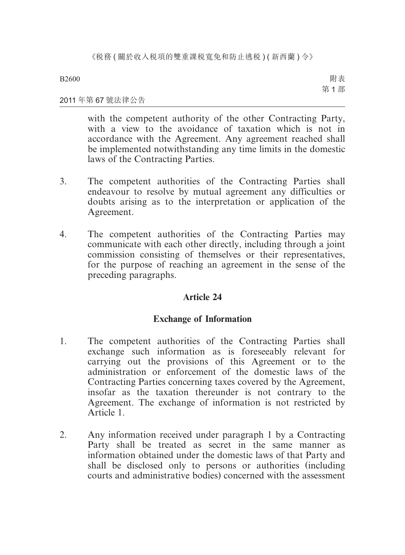附表 第 1 部

# 2011 年第 67 號法律公告

with the competent authority of the other Contracting Party, with a view to the avoidance of taxation which is not in accordance with the Agreement. Any agreement reached shall be implemented notwithstanding any time limits in the domestic laws of the Contracting Parties.

- 3. The competent authorities of the Contracting Parties shall endeavour to resolve by mutual agreement any difficulties or doubts arising as to the interpretation or application of the Agreement.
- 4. The competent authorities of the Contracting Parties may communicate with each other directly, including through a joint commission consisting of themselves or their representatives, for the purpose of reaching an agreement in the sense of the preceding paragraphs.

# **Article 24**

# **Exchange of Information**

- 1. The competent authorities of the Contracting Parties shall exchange such information as is foreseeably relevant for carrying out the provisions of this Agreement or to the administration or enforcement of the domestic laws of the Contracting Parties concerning taxes covered by the Agreement, insofar as the taxation thereunder is not contrary to the Agreement. The exchange of information is not restricted by Article 1.
- 2. Any information received under paragraph 1 by a Contracting Party shall be treated as secret in the same manner as information obtained under the domestic laws of that Party and shall be disclosed only to persons or authorities (including courts and administrative bodies) concerned with the assessment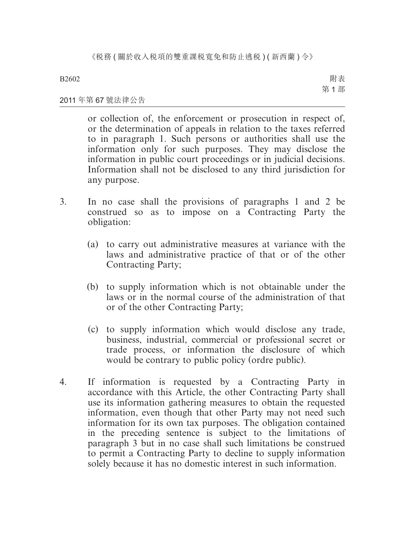附表 第 1 部

# 2011 年第 67 號法律公告

or collection of, the enforcement or prosecution in respect of, or the determination of appeals in relation to the taxes referred to in paragraph 1. Such persons or authorities shall use the information only for such purposes. They may disclose the information in public court proceedings or in judicial decisions. Information shall not be disclosed to any third jurisdiction for any purpose.

- 3. In no case shall the provisions of paragraphs 1 and 2 be construed so as to impose on a Contracting Party the obligation:
	- (a) to carry out administrative measures at variance with the laws and administrative practice of that or of the other Contracting Party;
	- (b) to supply information which is not obtainable under the laws or in the normal course of the administration of that or of the other Contracting Party;
	- (c) to supply information which would disclose any trade, business, industrial, commercial or professional secret or trade process, or information the disclosure of which would be contrary to public policy (ordre public).
- 4. If information is requested by a Contracting Party in accordance with this Article, the other Contracting Party shall use its information gathering measures to obtain the requested information, even though that other Party may not need such information for its own tax purposes. The obligation contained in the preceding sentence is subject to the limitations of paragraph 3 but in no case shall such limitations be construed to permit a Contracting Party to decline to supply information solely because it has no domestic interest in such information.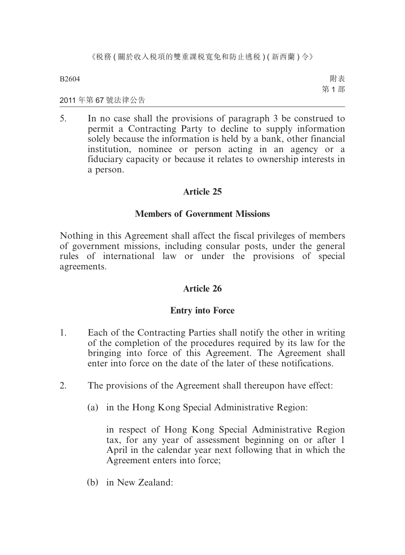附表 第 1 部

2011 年第 67 號法律公告

5. In no case shall the provisions of paragraph 3 be construed to permit a Contracting Party to decline to supply information solely because the information is held by a bank, other financial institution, nominee or person acting in an agency or a fiduciary capacity or because it relates to ownership interests in a person.

# **Article 25**

# **Members of Government Missions**

Nothing in this Agreement shall affect the fiscal privileges of members of government missions, including consular posts, under the general rules of international law or under the provisions of special agreements.

# **Article 26**

# **Entry into Force**

- 1. Each of the Contracting Parties shall notify the other in writing of the completion of the procedures required by its law for the bringing into force of this Agreement. The Agreement shall enter into force on the date of the later of these notifications.
- 2. The provisions of the Agreement shall thereupon have effect:
	- (a) in the Hong Kong Special Administrative Region:

in respect of Hong Kong Special Administrative Region tax, for any year of assessment beginning on or after 1 April in the calendar year next following that in which the Agreement enters into force;

(b) in New Zealand: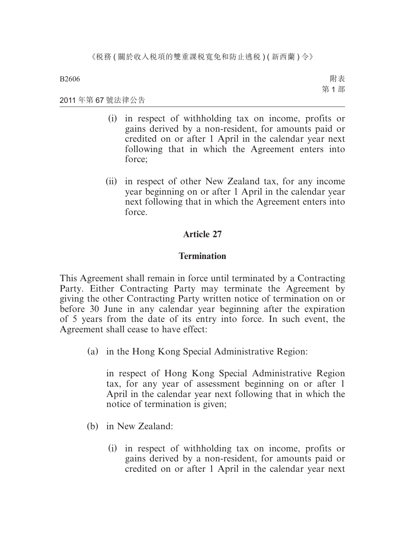附表 第 1 部

2011 年第 67 號法律公告

- (i) in respect of withholding tax on income, profits or gains derived by a non-resident, for amounts paid or credited on or after 1 April in the calendar year next following that in which the Agreement enters into force:
- (ii) in respect of other New Zealand tax, for any income year beginning on or after 1 April in the calendar year next following that in which the Agreement enters into force.

# **Article 27**

# **Termination**

This Agreement shall remain in force until terminated by a Contracting Party. Either Contracting Party may terminate the Agreement by giving the other Contracting Party written notice of termination on or before 30 June in any calendar year beginning after the expiration of 5 years from the date of its entry into force. In such event, the Agreement shall cease to have effect:

(a) in the Hong Kong Special Administrative Region:

in respect of Hong Kong Special Administrative Region tax, for any year of assessment beginning on or after 1 April in the calendar year next following that in which the notice of termination is given;

- (b) in New Zealand:
	- (i) in respect of withholding tax on income, profits or gains derived by a non-resident, for amounts paid or credited on or after 1 April in the calendar year next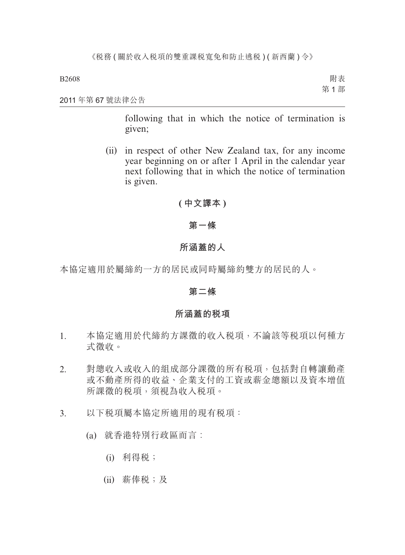附表 第 1 部

### 2011 年第 67 號法律公告

following that in which the notice of termination is given;

(ii) in respect of other New Zealand tax, for any income year beginning on or after 1 April in the calendar year next following that in which the notice of termination is given.

# **( 中文譯本 )**

# **第一條**

# **所涵蓋的人**

本協定適用於屬締約一方的居民或同時屬締約雙方的居民的人。

# **第二條**

# **所涵蓋的稅項**

- 1. 本協定適用於代締約方課徵的收入稅項,不論該等稅項以何種方 式徵收。
- 2. 對總收入或收入的組成部分課徵的所有稅項,包括對自轉讓動產 或不動產所得的收益、企業支付的工資或薪金總額以及資本增值 所課徵的稅項,須視為收入稅項。
- 3. 以下稅項屬本協定所適用的現有稅項:
	- (a) 就香港特別行政區而言︰
		- (i) 利得稅;
		- (ii) 薪俸稅;及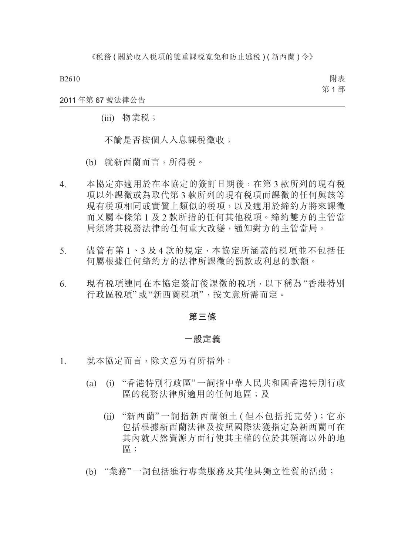附表 第 1 部

2011 年第 67 號法律公告

(iii) 物業稅;

不論是否按個人入息課稅徵收;

- (b) 就新西蘭而言,所得稅。
- 4. 本協定亦適用於在本協定的簽訂日期後,在第 3 款所列的現有稅 項以外課徵或為取代第 3 款所列的現有稅項而課徵的任何與該等 現有稅項相同或實質上類似的稅項,以及適用於締約方將來課徵 而又屬本條第 1 及 2 款所指的任何其他稅項。締約雙方的主管當 局須將其稅務法律的任何重大改變,通知對方的主管當局。
- 5. 儘管有第 1、3 及 4 款的規定,本協定所涵蓋的税項並不包括任 何屬根據任何締約方的法律所課徵的罰款或利息的款額。
- 6. 現有稅項連同在本協定簽訂後課徵的稅項,以下稱為 "香港特別 行政區稅項"或"新西蘭稅項",按文意所需而定。

#### **第三條**

# **一般定義**

- 1. 就本協定而言,除文意另有所指外:
	- (a) (i) "香港特別行政區"一詞指中華人民共和國香港特別行政 區的稅務法律所適用的任何地區;及
		- (ii) "新西蘭" 一詞指新西蘭領土 ( 但不包括托克勞 );它亦 包括根據新西蘭法律及按照國際法獲指定為新西蘭可在 其內就天然資源方面行使其主權的位於其領海以外的地 區;
	- (b) "業務"一詞包括進行專業服務及其他具獨立性質的活動;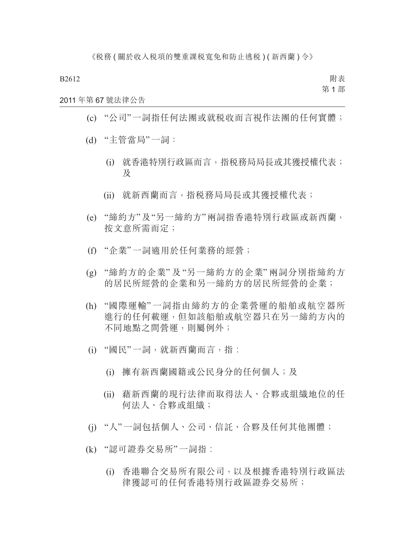附表 第 1 部

2011 年第 67 號法律公告

- (c) "公司"一詞指任何法團或就稅收而言視作法團的任何實體;
- (d) "主管當局"一詞:
	- (i) 就香港特別行政區而言,指稅務局局長或其獲授權代表; 及
	- (ii) 就新西蘭而言,指稅務局局長或其獲授權代表;
- (e) "締約方"及"另一締約方"兩詞指香港特別行政區或新西蘭, 按文意所需而定;
- (f) "企業"一詞適用於任何業務的經營;
- (g) "締約方的企業" 及 "另一締約方的企業" 兩詞分別指締約方 的居民所經營的企業和另一締約方的居民所經營的企業;
- (h) "國際運輸" 一詞指由締約方的企業營運的船舶或航空器所 進行的任何載運,但如該船舶或航空器只在另一締約方內的 不同地點之間營運,則屬例外;
- (i) "國民"一詞,就新西蘭而言,指︰
	- (i) 擁有新西蘭國籍或公民身分的任何個人;及
	- (ii) 藉新西蘭的現行法律而取得法人、合夥或組織地位的任 何法人、合夥或組織;
- (j) "人"一詞包括個人、公司、信託、合夥及任何其他團體;
- (k) "認可證券交易所"一詞指︰
	- (i) 香港聯合交易所有限公司,以及根據香港特別行政區法 律獲認可的任何香港特別行政區證券交易所;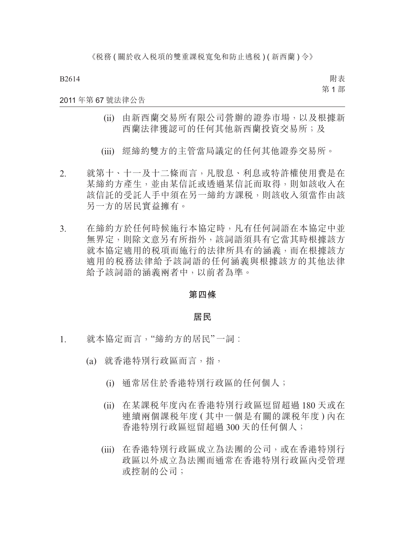附表 第 1 部

### 2011 年第 67 號法律公告

- (ii) 由新西蘭交易所有限公司營辦的證券市場,以及根據新 西蘭法律獲認可的任何其他新西蘭投資交易所;及
- (iii) 經締約雙方的主管當局議定的任何其他證券交易所。
- 2. 就第十、十一及十二條而言,凡股息、利息或特許權使用費是在 某締約方產生,並由某信託或透過某信託而取得,則如該收入在 該信託的受託人手中須在另一締約方課稅,則該收入須當作由該 另一方的居民實益擁有。
- 3. 在締約方於任何時候施行本協定時,凡有任何詞語在本協定中並 無界定,則除文意另有所指外,該詞語須具有它當其時根據該方 就本協定適用的稅項而施行的法律所具有的涵義,而在根據該方 適用的稅務法律給予該詞語的任何涵義與根據該方的其他法律 給予該詞語的涵義兩者中,以前者為準。

## **第四條**

# **居民**

- 1. 就本協定而言,"締約方的居民"一詞︰
	- (a) 就香港特別行政區而言,指,
		- (i) 通常居住於香港特別行政區的任何個人;
		- (ii) 在某課稅年度內在香港特別行政區逗留超過 180 天或在 連續兩個課税年度 (其中一個是有關的課税年度)內在 香港特別行政區逗留超過 300 天的任何個人;
		- (iii) 在香港特別行政區成立為法團的公司,或在香港特別行 政區以外成立為法團而通常在香港特別行政區內受管理 或控制的公司;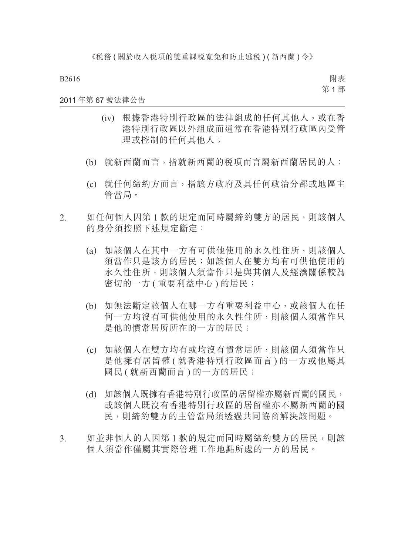附表 第 1 部

## 2011 年第 67 號法律公告

- (iv) 根據香港特別行政區的法律組成的任何其他人,或在香 港特別行政區以外組成而通常在香港特別行政區內受管 理或控制的任何其他人;
- (b) 就新西蘭而言,指就新西蘭的稅項而言屬新西蘭居民的人;
- (c) 就任何締約方而言,指該方政府及其任何政治分部或地區主 管當局。
- 2. 如任何個人因第 1 款的規定而同時屬締約雙方的居民,則該個人 的身分須按照下述規定斷定:
	- (a) 如該個人在其中一方有可供他使用的永久性住所,則該個人 須當作只是該方的居民;如該個人在雙方均有可供他使用的 永久性住所,則該個人須當作只是與其個人及經濟關係較為 密切的一方 ( 重要利益中心 ) 的居民;
	- (b) 如無法斷定該個人在哪一方有重要利益中心,或該個人在任 何一方均沒有可供他使用的永久性住所,則該個人須當作只 是他的慣常居所所在的一方的居民;
	- (c) 如該個人在雙方均有或均沒有慣常居所,則該個人須當作只 是他擁有居留權 ( 就香港特別行政區而言 ) 的一方或他屬其 國民 ( 就新西蘭而言 ) 的一方的居民;
	- (d) 如該個人既擁有香港特別行政區的居留權亦屬新西蘭的國民, 或該個人既沒有香港特別行政區的居留權亦不屬新西蘭的國 民,則締約雙方的主管當局須透過共同協商解決該問題。
- 3. 如並非個人的人因第1款的規定而同時屬締約雙方的居民,則該 個人須當作僅屬其實際管理工作地點所處的一方的居民。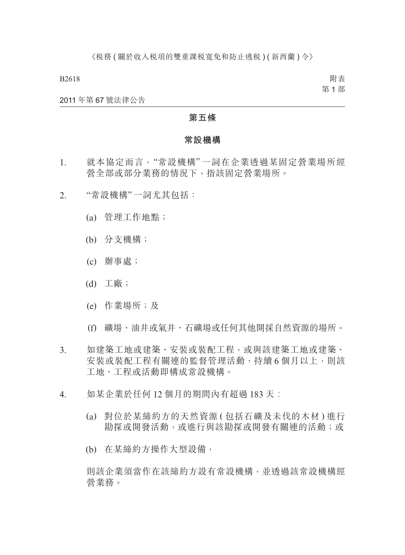附表 第 1 部

#### 2011 年第 67 號法律公告

# **第五條**

#### **常設機構**

- 1. 就本協定而言,"常設機構" 一詞在企業透過某固定營業場所經 營全部或部分業務的情況下,指該固定營業場所。
- 2. "常設機構"一詞尤其包括:
	- (a) 管理工作地點;
	- (b) 分支機構;
	- (c) 辦事處;
	- (d) 工廠;
	- (e) 作業場所;及
	- (f) 礦場、油井或氣井、石礦場或任何其他開採自然資源的場所。
- 3. 如建築工地或建築、安裝或裝配工程,或與該建築工地或建築、 安裝或裝配工程有關連的監督管理活動,持續 6 個月以上,則該 工地、工程或活動即構成常設機構。
- 4. 如某企業於任何 12 個月的期間內有超過 183 天:
	- (a) 對位於某締約方的天然資源 ( 包括石礦及未伐的木材 ) 進行 勘探或開發活動,或進行與該勘探或開發有關連的活動;或
	- (b) 在某締約方操作大型設備,

則該企業須當作在該締約方設有常設機構,並透過該常設機構經 營業務。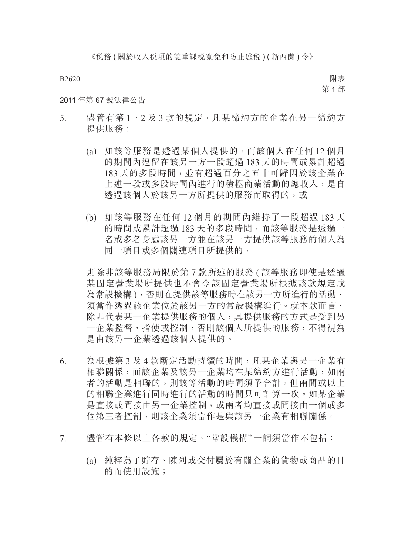《税務(關於收入税項的雙重課税寬免和防止逃税)(新西蘭)令》

B2620

附表 第 1 部

## 2011 年第 67 號法律公告

- 5. 儘管有第1、2及3款的規定,凡某締約方的企業在另一締約方 提供服務:
	- (a) 如該等服務是透過某個人提供的,而該個人在任何 12 個月 的期間內逗留在該另一方一段超過 183 天的時間或累計超過 183 天的多段時間,並有超過百分之五十可歸因於該企業在 上述一段或多段時間內進行的積極商業活動的總收入,是自 透過該個人於該另一方所提供的服務而取得的,或
	- (b) 如該等服務在任何 12 個月的期間內維持了一段超過 183 天 的時間或累計超過 183 天的多段時間,而該等服務是透過一 名或多名身處該另一方並在該另一方提供該等服務的個人為 同一項目或多個關連項目所提供的,

則除非該等服務局限於第 7 款所述的服務 ( 該等服務即使是透過 某固定營業場所提供也不會令該固定營業場所根據該款規定成 為常設機構 ),否則在提供該等服務時在該另一方所進行的活動, 須當作透過該企業位於該另一方的常設機構進行。就本款而言, 除非代表某一企業提供服務的個人,其提供服務的方式是受到另 一企業監督、指使或控制,否則該個人所提供的服務,不得視為 是由該另一企業透過該個人提供的。

- 6. 為根據第 3 及 4 款斷定活動持續的時間,凡某企業與另一企業有 相聯關係,而該企業及該另一企業均在某締約方進行活動,如兩 者的活動是相聯的,則該等活動的時間須予合計,但兩間或以上 的相聯企業進行同時進行的活動的時間只可計算一次。如某企業 是直接或間接由另一企業控制,或兩者均直接或間接由一個或多 個第三者控制,則該企業須當作是與該另一企業有相聯關係。
- 7. 儘管有本條以上各款的規定,"常設機構"一詞須當作不包括:
	- (a) 純粹為了貯存、陳列或交付屬於有關企業的貨物或商品的目 的而使用設施;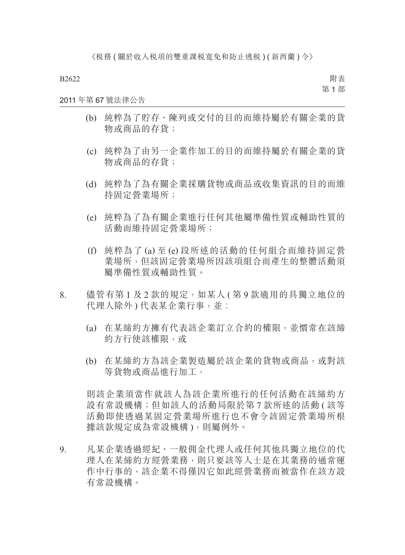附表 第 1 部

# 2011 年第 67 號法律公告

- (b) 純粹為了貯存、陳列或交付的目的而維持屬於有關企業的貨 物或商品的存貨;
- (c) 純粹為了由另一企業作加工的目的而維持屬於有關企業的貨 物或商品的存貨;
- (d) 純粹為了為有關企業採購貨物或商品或收集資訊的目的而維 持固定營業場所;
- (e) 純粹為了為有關企業進行任何其他屬準備性質或輔助性質的 活動而維持固定營業場所;
- (f) 純粹為了 (a) 至 (e) 段所述的活動的任何組合而維持固定營 業場所,但該固定營業場所因該項組合而產生的整體活動須 屬準備性質或輔助性質。
- 8. 儘管有第1及2款的規定,如某人 ( 第9 款適用的具獨立地位的 代理人除外)代表某企業行事,並:
	- (a) 在某締約方擁有代表該企業訂立合約的權限,並慣常在該締 約方行使該權限,或
	- (b) 在某締約方為該企業製造屬於該企業的貨物或商品,或對該 等貨物或商品進行加工,

則該企業須當作就該人為該企業所進行的任何活動在該締約方 設有常設機構;但如該人的活動局限於第 7 款所述的活動 ( 該等 活動即使透過某固定營業場所進行也不會令該固定營業場所根 據該款規定成為常設機構 ),則屬例外。

9. 凡某企業透過經紀、一般佣金代理人或任何其他具獨立地位的代 理人在某締約方經營業務,則只要該等人士是在其業務的通常運 作中行事的,該企業不得僅因它如此經營業務而被當作在該方設 有常設機構。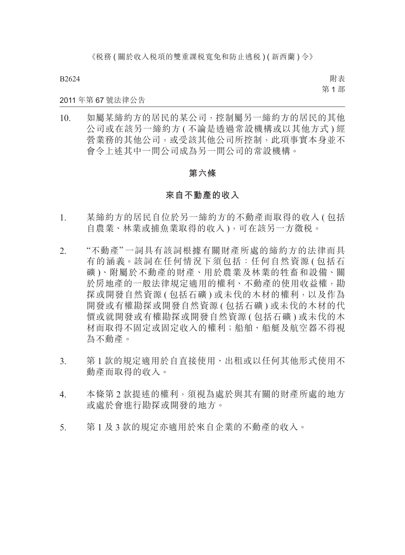附表 第 1 部

### 2011 年第 67 號法律公告

10. 如屬某締約方的居民的某公司,控制屬另一締約方的居民的其他 公司或在該另一締約方 ( 不論是透過常設機構或以其他方式 ) 經 營業務的其他公司,或受該其他公司所控制,此項事實本身並不 會令上述其中一間公司成為另一間公司的常設機構。

# **第六條**

# **來自不動產的收入**

- 1. 某締約方的居民自位於另一締約方的不動產而取得的收入 ( 包括 自農業、林業或捕魚業取得的收入 ),可在該另一方徵稅。
- 2. "不動產" 一詞具有該詞根據有關財產所處的締約方的法律而具 有的涵義。該詞在任何情況下須包括:任何自然資源 ( 包括石 礦 )、附屬於不動產的財產、用於農業及林業的牲畜和設備、關 於房地產的一般法律規定適用的權利、不動產的使用收益權,勘 探或開發自然資源 ( 包括石礦 ) 或未伐的木材的權利, 以及作為 開發或有權勘探或開發自然資源 ( 包括石礦 ) 或未伐的木材的代 價或就開發或有權勘探或開發自然資源 ( 包括石礦 ) 或未伐的木 材而取得不固定或固定收入的權利;船舶、船艇及航空器不得視 為不動產。
- 3. 第 1 款的規定適用於自直接使用、出租或以任何其他形式使用不 動產而取得的收入。
- 4. 本條第 2 款提述的權利,須視為處於與其有關的財產所處的地方 或處於會進行勘探或開發的地方。
- 5. 第 1 及 3 款的規定亦適用於來自企業的不動產的收入。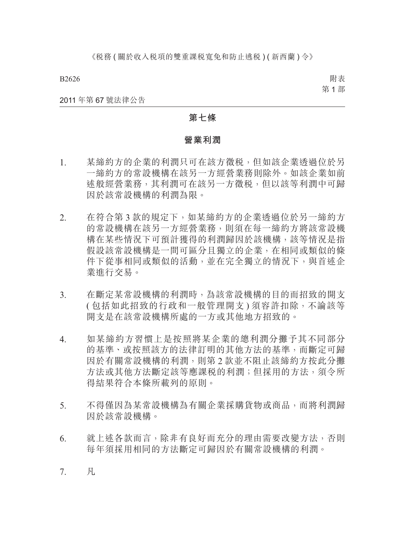附表 第 1 部

#### 2011 年第 67 號法律公告

# **第七條**

#### **營業利潤**

- 1. 某締約方的企業的利潤只可在該方徵稅,但如該企業透過位於另 一締約方的常設機構在該另一方經營業務則除外。如該企業如前 述般經營業務,其利潤可在該另一方徵稅,但以該等利潤中可歸 因於該常設機構的利潤為限。
- 2. 在符合第 3 款的規定下,如某締約方的企業透過位於另一締約方 的常設機構在該另一方經營業務,則須在每一締約方將該常設機 構在某些情況下可預計獲得的利潤歸因於該機構,該等情況是指 假設該常設機構是一間可區分且獨立的企業,在相同或類似的條 件下從事相同或類似的活動,並在完全獨立的情況下,與首述企 業進行交易。
- 3. 在斷定某常設機構的利潤時,為該常設機構的目的而招致的開支 ( 包括如此招致的行政和一般管理開支 ) 須容許扣除,不論該等 開支是在該常設機構所處的一方或其他地方招致的。
- 4. 如某締約方習慣上是按照將某企業的總利潤分攤予其不同部分 的基準、或按照該方的法律訂明的其他方法的基準,而斷定可歸 因於有關常設機構的利潤,則第 2 款並不阻止該締約方按此分攤 方法或其他方法斷定該等應課稅的利潤;但採用的方法,須令所 得結果符合本條所載列的原則。
- 5. 不得僅因為某常設機構為有關企業採購貨物或商品,而將利潤歸 因於該常設機構。
- 6. 就上述各款而言,除非有良好而充分的理由需要改變方法,否則 每年須採用相同的方法斷定可歸因於有關常設機構的利潤。
- 7. 凡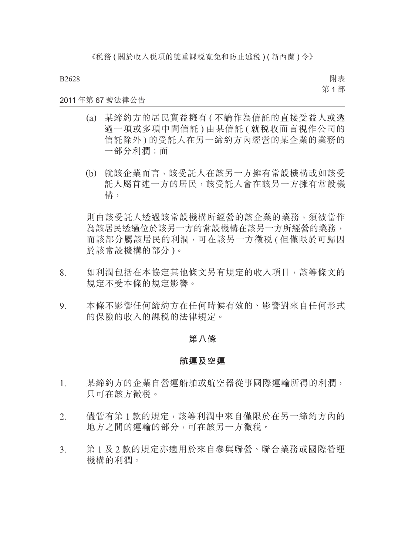附表 第 1 部

# 2011 年第 67 號法律公告

- (a) 某締約方的居民實益擁有 ( 不論作為信託的直接受益人或透 過一項或多項中間信託 ) 由某信託 ( 就稅收而言視作公司的 信託除外 ) 的受託人在另一締約方內經營的某企業的業務的 一部分利潤;而
- (b) 就該企業而言,該受託人在該另一方擁有常設機構或如該受 託人屬首述一方的居民,該受託人會在該另一方擁有常設機 構,

則由該受託人透過該常設機構所經營的該企業的業務,須被當作 為該居民透過位於該另一方的常設機構在該另一方所經營的業務, 而該部分屬該居民的利潤,可在該另一方徵稅 ( 但僅限於可歸因 於該常設機構的部分 )。

- 8. 如利潤包括在本協定其他條文另有規定的收入項目,該等條文的 規定不受本條的規定影響。
- 9. 本條不影響任何締約方在任何時候有效的、影響對來自任何形式 的保險的收入的課稅的法律規定。

# **第八條**

### **航運及空運**

- 1. 某締約方的企業自營運船舶或航空器從事國際運輸所得的利潤, 只可在該方徵稅。
- 2. 儘管有第 1 款的規定, 該等利潤中來自僅限於在另一締約方內的 地方之間的運輸的部分,可在該另一方徵稅。
- 3. 第 1 及 2 款的規定亦適用於來自參與聯營、聯合業務或國際營運 機構的利潤。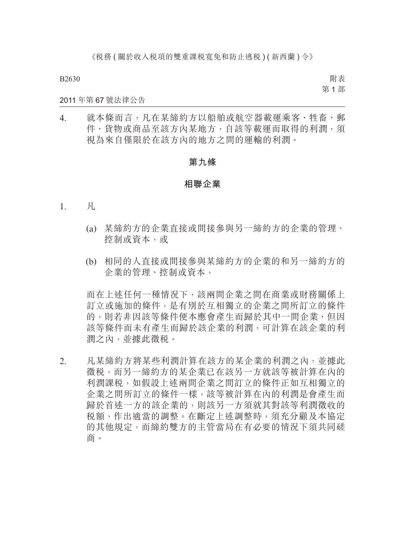附表 第 1 部

### 2011 年第 67 號法律公告

4. 就本條而言,凡在某締約方以船舶或航空器載運乘客、牲畜、郵 件、貨物或商品至該方內某地方,自該等載運而取得的利潤,須 視為來自僅限於在該方內的地方之間的運輸的利潤。

# **第九條**

### **相聯企業**

- 1. 凡
	- (a) 某締約方的企業直接或間接參與另一締約方的企業的管理、 控制或資本,或
	- (b) 相同的人直接或間接參與某締約方的企業的和另一締約方的 企業的管理、控制或資本,

而在上述任何一種情況下,該兩間企業之間在商業或財務關係上 訂立或施加的條件,是有別於互相獨立的企業之間所訂立的條件 的,則若非因該等條件便本應會產生而歸於其中一間企業、但因 該等條件而未有產生而歸於該企業的利潤,可計算在該企業的利 潤之內,並據此徵稅。

2. 凡某締約方將某些利潤計算在該方的某企業的利潤之內,並據此 徵稅,而另一締約方的某企業已在該另一方就該等被計算在內的 利潤課稅,如假設上述兩間企業之間訂立的條件正如互相獨立的 企業之間所訂立的條件一樣,該等被計算在內的利潤是會產生而 歸於首述一方的該企業的,則該另一方須就其對該等利潤徵收的 稅額,作出適當的調整。在斷定上述調整時,須充分顧及本協定 的其他規定,而締約雙方的主管當局在有必要的情況下須共同磋 商。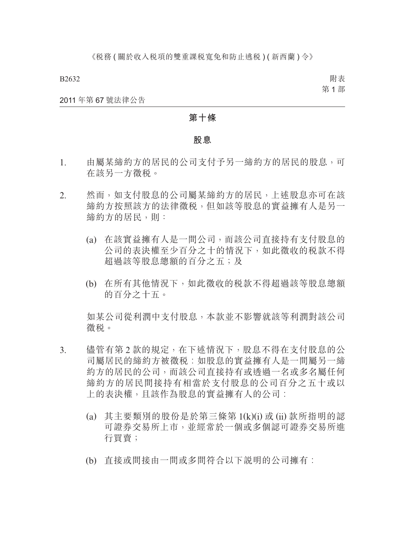附表 第 1 部

#### 2011 年第 67 號法律公告

# **第十條**

#### **股息**

- 1. 由屬某締約方的居民的公司支付予另一締約方的居民的股息,可 在該另一方徵稅。
- 2. 然而,如支付股息的公司屬某締約方的居民,上述股息亦可在該 締約方按照該方的法律徵稅,但如該等股息的實益擁有人是另一 締約方的居民,則:
	- (a) 在該實益擁有人是一間公司,而該公司直接持有支付股息的 公司的表決權至少百分之十的情況下,如此徵收的稅款不得 超過該等股息總額的百分之五;及
	- (b) 在所有其他情況下,如此徵收的稅款不得超過該等股息總額 的百分之十五。

如某公司從利潤中支付股息,本款並不影響就該等利潤對該公司 徵稅。

- 3. 儘管有第 2 款的規定,在下述情況下,股息不得在支付股息的公 司屬居民的締約方被徵稅︰如股息的實益擁有人是一間屬另一締 約方的居民的公司,而該公司直接持有或透過一名或多名屬任何 締約方的居民間接持有相當於支付股息的公司百分之五十或以 上的表決權,且該作為股息的實益擁有人的公司:
	- (a) 其主要類別的股份是於第三條第 1(k)(i) 或 (ii) 款所指明的認 可證券交易所上市,並經常於一個或多個認可證券交易所進 行買賣;
	- (b) 直接或間接由一間或多間符合以下説明的公司擁有: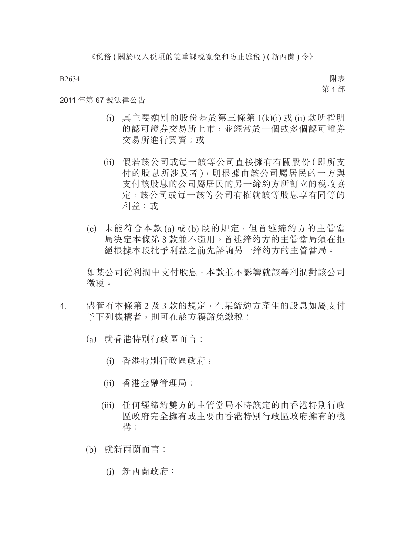附表 第 1 部

### 2011 年第 67 號法律公告

- (i) 其主要類別的股份是於第三條第 1(k)(i) 或 (ii) 款所指明 的認可證券交易所上市,並經常於一個或多個認可證券 交易所進行買賣;或
- (ii) 假若該公司或每一該等公司直接擁有有關股份 ( 即所支 付的股息所涉及者 ),則根據由該公司屬居民的一方與 支付該股息的公司屬居民的另一締約方所訂立的稅收協 定,該公司或每一該等公司有權就該等股息享有同等的 利益;或
- (c) 未能符合本款 (a) 或 (b) 段的規定,但首述締約方的主管當 局決定本條第 8 款並不適用。首述締約方的主管當局須在拒 絕根據本段批予利益之前先諮詢另一締約方的主管當局。

如某公司從利潤中支付股息,本款並不影響就該等利潤對該公司 徵稅。

- 4. 儘管有本條第 2 及 3 款的規定, 在某締約方產生的股息如屬支付 予下列機構者,則可在該方獲豁免繳税:
	- (a) 就香港特別行政區而言︰
		- (i) 香港特別行政區政府;
		- (ii) 香港金融管理局;
		- (iii) 任何經締約雙方的主管當局不時議定的由香港特別行政 區政府完全擁有或主要由香港特別行政區政府擁有的機 構;
	- (b) 就新西蘭而言︰
		- (i) 新西蘭政府;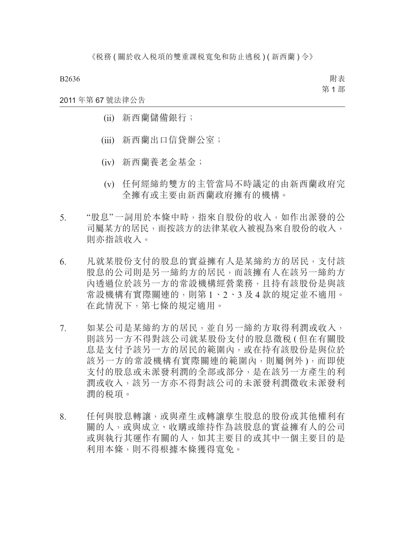附表 第 1 部

# 2011 年第 67 號法律公告

- (ii) 新西蘭儲備銀行;
- (iii) 新西蘭出口信貸辦公室;
- (iv) 新西蘭養老金基金;
- (v) 任何經締約雙方的主管當局不時議定的由新西蘭政府完 全擁有或主要由新西蘭政府擁有的機構。
- 5. "股息"一詞用於本條中時,指來自股份的收入,如作出派發的公 司屬某方的居民,而按該方的法律某收入被視為來自股份的收入, 則亦指該收入。
- 6. 凡就某股份支付的股息的實益擁有人是某締約方的居民,支付該 股息的公司則是另一締約方的居民,而該擁有人在該另一締約方 內透過位於該另一方的常設機構經營業務,且持有該股份是與該 常設機構有實際關連的,則第 1、2、3 及 4 款的規定並不適用。 在此情況下,第七條的規定適用。
- 7. 如某公司是某締約方的居民,並自另一締約方取得利潤或收入, 則該另一方不得對該公司就某股份支付的股息徵稅 ( 但在有關股 息是支付予該另一方的居民的範圍內,或在持有該股份是與位於 該另一方的常設機構有實際關連的範圍內,則屬例外 ),而即使 支付的股息或未派發利潤的全部或部分,是在該另一方產生的利 潤或收入,該另一方亦不得對該公司的未派發利潤徵收未派發利 潤的稅項。
- 8. 任何與股息轉讓,或與產生或轉讓孳生股息的股份或其他權利有 關的人,或與成立、收購或維持作為該股息的實益擁有人的公司 或與執行其運作有關的人,如其主要目的或其中一個主要目的是 利用本條,則不得根據本條獲得寬免。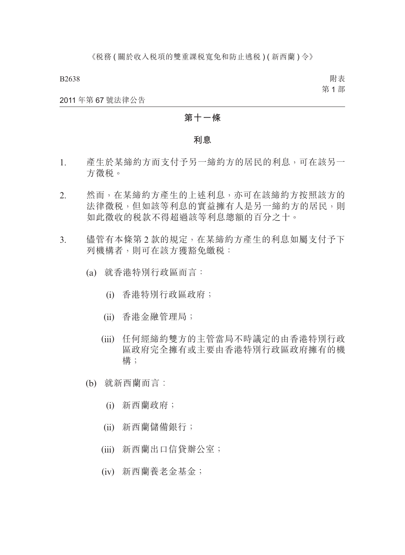附表 第 1 部

2011 年第 67 號法律公告

# **第十一條**

#### **利息**

- 1. 產生於某締約方而支付予另一締約方的居民的利息,可在該另一 方徵稅。
- 2. 然而,在某締約方產生的上述利息,亦可在該締約方按照該方的 法律徵税,但如該等利息的實益擁有人是另一締約方的居民,則 如此徵收的稅款不得超過該等利息總額的百分之十。
- 3. 儘管有本條第 2 款的規定,在某締約方產生的利息如屬支付予下 列機構者,則可在該方獲豁免繳税:
	- (a) 就香港特別行政區而言:
		- (i) 香港特別行政區政府;
		- (ii) 香港金融管理局;
		- (iii) 任何經締約雙方的主管當局不時議定的由香港特別行政 區政府完全擁有或主要由香港特別行政區政府擁有的機 構;
	- (b) 就新西蘭而言︰
		- (i) 新西蘭政府;
		- (ii) 新西蘭儲備銀行;
		- (iii) 新西蘭出口信貸辦公室;
		- (iv) 新西蘭養老金基金;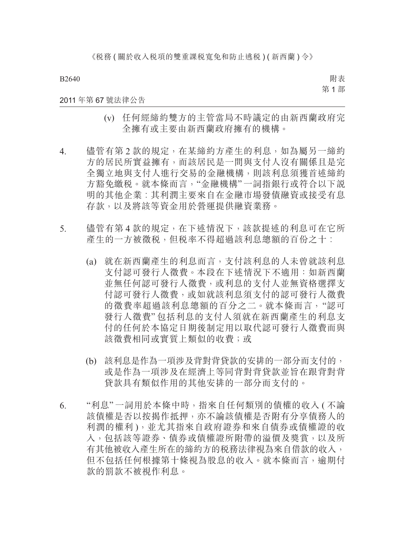附表 第 1 部

### 2011 年第 67 號法律公告

- (v) 任何經締約雙方的主管當局不時議定的由新西蘭政府完 全擁有或主要由新西蘭政府擁有的機構。
- 4. 儘管有第 2 款的規定, 在某締約方產生的利息, 如為屬另一締約 方的居民所實益擁有,而該居民是一間與支付人沒有關係且是完 全獨立地與支付人進行交易的金融機構,則該利息須獲首述締約 方豁免繳稅。就本條而言,"金融機構"一詞指銀行或符合以下說 明的其他企業︰其利潤主要來自在金融市場發債融資或接受有息 存款,以及將該等資金用於營運提供融資業務。
- 5. 儘管有第 4 款的規定,在下述情況下,該款提述的利息可在它所 產生的一方被徵稅,但稅率不得超過該利息總額的百份之十︰
	- (a) 就在新西蘭產生的利息而言,支付該利息的人未曾就該利息 支付認可發行人徵費。本段在下述情況下不適用:如新西蘭 並無任何認可發行人徵費,或利息的支付人並無資格選擇支 付認可發行人徵費,或如就該利息須支付的認可發行人徵費 的徵費率超過該利息總額的百分之二。就本條而言,"認可 發行人徵費" 包括利息的支付人須就在新西蘭產生的利息支 付的任何於本協定日期後制定用以取代認可發行人徵費而與 該徵費相同或實質上類似的收費;或
	- (b) 該利息是作為一項涉及背對背貸款的安排的一部分而支付的, 或是作為一項涉及在經濟上等同背對背貸款並旨在跟背對背 貸款具有類似作用的其他安排的一部分而支付的。
- 6. "利息" 一詞用於本條中時,指來自任何類別的債權的收入 ( 不論 該債權是否以按揭作抵押,亦不論該債權是否附有分享債務人的 利潤的權利 ),並尤其指來自政府證券和來自債券或債權證的收 入,包括該等證券、債券或債權證所附帶的溢價及獎賞,以及所 有其他被收入產生所在的締約方的稅務法律視為來自借款的收入, 但不包括任何根據第十條視為股息的收入。就本條而言,逾期付 款的罰款不被視作利息。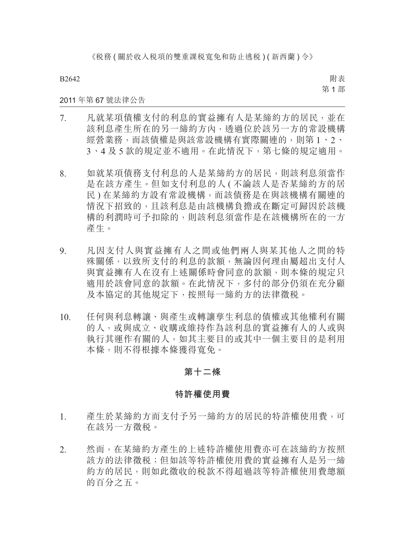《税務(關於收入税項的雙重課税寬免和防止逃税)(新西蘭)令》

B2642

附表 第 1 部

# 2011 年第 67 號法律公告

- 7. 凡就某項債權支付的利息的實益擁有人是某締約方的居民,並在 該利息產生所在的另一締約方內,透過位於該另一方的常設機構 經營業務,而該債權是與該常設機構有實際關連的,則第 1、2、 3、4 及 5 款的規定並不適用。在此情況下,第七條的規定適用。
- 8. 如就某項債務支付利息的人是某締約方的居民,則該利息須當作 是在該方產生。但如支付利息的人 ( 不論該人是否某締約方的居 民 ) 在某締約方設有常設機構,而該債務是在與該機構有關連的 情況下招致的,且該利息是由該機構負擔或在斷定可歸因於該機 構的利潤時可予扣除的,則該利息須當作是在該機構所在的一方 產生。
- 9. 凡因支付人與實益擁有人之間或他們兩人與某其他人之間的特 殊關係,以致所支付的利息的款額,無論因何理由屬超出支付人 與實益擁有人在沒有上述關係時會同意的款額,則本條的規定只 適用於該會同意的款額。在此情況下,多付的部分仍須在充分顧 及本協定的其他規定下,按照每一締約方的法律徵稅。
- 10. 任何與利息轉讓、與產生或轉讓孳生利息的債權或其他權利有關 的人,或與成立、收購或維持作為該利息的實益擁有人的人或與 執行其運作有關的人,如其主要目的或其中一個主要目的是利用 本條,則不得根據本條獲得寬免。

# **第十二條**

### **特許權使用費**

- 1. 產生於某締約方而支付予另一締約方的居民的特許權使用費,可 在該另一方徵稅。
- 2. 然而,在某締約方產生的上述特許權使用費亦可在該締約方按照 該方的法律徵稅;但如該等特許權使用費的實益擁有人是另一締 約方的居民,則如此徵收的稅款不得超過該等特許權使用費總額 的百分之五。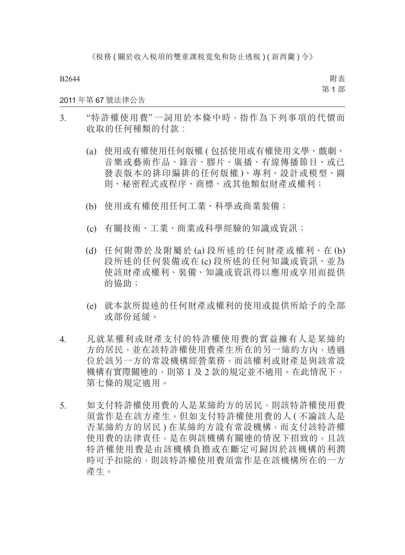附表 第 1 部

2011 年第 67 號法律公告

- 3. "特許權使用費" 一詞用於本條中時,指作為下列事項的代價而 收取的任何種類的付款:
	- (a) 使用或有權使用任何版權 ( 包括使用或有權使用文學、戲劇、 音樂或藝術作品、錄音、膠片、廣播、有線傳播節目、或已 發表版本的排印編排的任何版權 )、專利、設計或模型、圖 則、秘密程式或程序、商標、或其他類似財產或權利;
	- (b) 使用或有權使用任何工業、科學或商業裝備;
	- (c) 有關技術、工業、商業或科學經驗的知識或資訊;
	- (d) 任何附帶於及附屬於 (a) 段所述的任何財產或權利、在 (b) 段所述的任何裝備或在 (c) 段所述的任何知識或資訊、並為 使該財產或權利、裝備、知識或資訊得以應用或享用而提供 的協助;
	- (e) 就本款所提述的任何財產或權利的使用或提供所給予的全部 或部份延緩。
- 4. 凡就某權利或財產支付的特許權使用費的實益擁有人是某締約 方的居民,並在該特許權使用費產生所在的另一締約方內,透過 位於該另一方的常設機構經營業務,而該權利或財產是與該常設 機構有實際關連的,則第 1 及 2 款的規定並不適用。在此情況下, 第七條的規定適用。
- 5. 如支付特許權使用費的人是某締約方的居民,則該特許權使用費 須當作是在該方產生。但如支付特許權使用費的人 ( 不論該人是 否某締約方的居民 ) 在某締約方設有常設機構,而支付該特許權 使用費的法律責任,是在與該機構有關連的情況下招致的,且該 特許權使用費是由該機構負擔或在斷定可歸因於該機構的利潤 時可予扣除的,則該特許權使用費須當作是在該機構所在的一方 產生。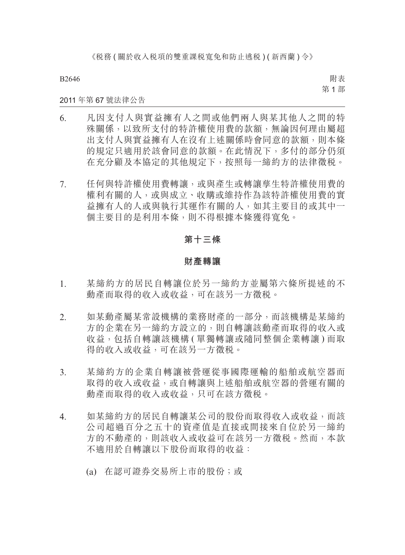《税務(關於收入税項的雙重課税寬免和防止逃税)(新西蘭)令》

B2646

附表 第 1 部

# 2011 年第 67 號法律公告

- 6. 凡因支付人與實益擁有人之間或他們兩人與某其他人之間的特 殊關係,以致所支付的特許權使用費的款額,無論因何理由屬超 出支付人與實益擁有人在沒有上述關係時會同意的款額,則本條 的規定只適用於該會同意的款額。在此情況下,多付的部分仍須 在充分顧及本協定的其他規定下,按照每一締約方的法律徵稅。
- 7. 任何與特許權使用費轉讓,或與產生或轉讓孳生特許權使用費的 權利有關的人,或與成立、收購或維持作為該特許權使用費的實 益擁有人的人或與執行其運作有關的人,如其主要目的或其中一 個主要目的是利用本條,則不得根據本條獲得寬免。

# **第十三條**

#### **財產轉讓**

- 1. 某締約方的居民自轉讓位於另一締約方並屬第六條所提述的不 動產而取得的收入或收益,可在該另一方徵稅。
- 2. 如某動產屬某常設機構的業務財產的一部分,而該機構是某締約 方的企業在另一締約方設立的,則自轉讓該動產而取得的收入或 收益,包括自轉讓該機構(單獨轉讓或隨同整個企業轉讓)而取 得的收入或收益,可在該另一方徵稅。
- 3. 某締約方的企業自轉讓被營運從事國際運輸的船舶或航空器而 取得的收入或收益,或自轉讓與上述船舶或航空器的營運有關的 動產而取得的收入或收益,只可在該方徵稅。
- 4. 如某締約方的居民自轉讓某公司的股份而取得收入或收益,而該 公司超過百分之五十的資產值是直接或間接來自位於另一締約 方的不動產的,則該收入或收益可在該另一方徵稅。然而,本款 不適用於自轉讓以下股份而取得的收益:
	- (a) 在認可證券交易所上市的股份;或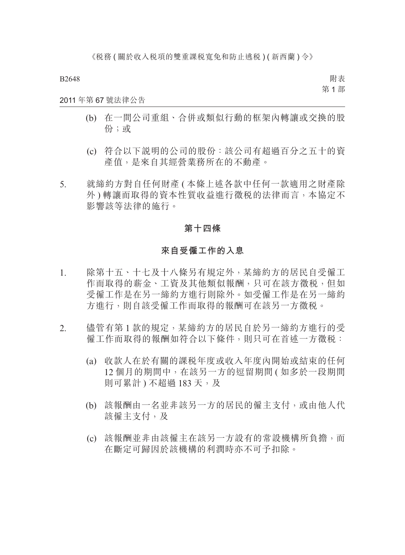附表 第 1 部

# 2011 年第 67 號法律公告

- (b) 在一間公司重組、合併或類似行動的框架內轉讓或交換的股 份;或
- (c) 符合以下說明的公司的股份:該公司有超過百分之五十的資 產值,是來自其經營業務所在的不動產。
- 5. 就締約方對自任何財產 ( 本條上述各款中任何一款適用之財產除 外 ) 轉讓而取得的資本性質收益進行徵稅的法律而言,本協定不 影響該等法律的施行。

### **第十四條**

### **來自受僱工作的入息**

- 1. 除第十五、十七及十八條另有規定外,某締約方的居民自受僱工 作而取得的薪金、工資及其他類似報酬,只可在該方徵税,但如 受僱工作是在另一締約方進行則除外。如受僱工作是在另一締約 方進行,則自該受僱工作而取得的報酬可在該另一方徵稅。
- 2. 儘管有第 1 款的規定,某締約方的居民自於另一締約方進行的受 僱工作而取得的報酬如符合以下條件,則只可在首述一方徵稅:
	- (a) 收款人在於有關的課稅年度或收入年度內開始或結束的任何 12 個月的期間中,在該另一方的逗留期間 ( 如多於一段期間 則可累計) 不超過 183 天,及
	- (b) 該報酬由一名並非該另一方的居民的僱主支付,或由他人代 該僱主支付,及
	- (c) 該報酬並非由該僱主在該另一方設有的常設機構所負擔,而 在斷定可歸因於該機構的利潤時亦不可予扣除。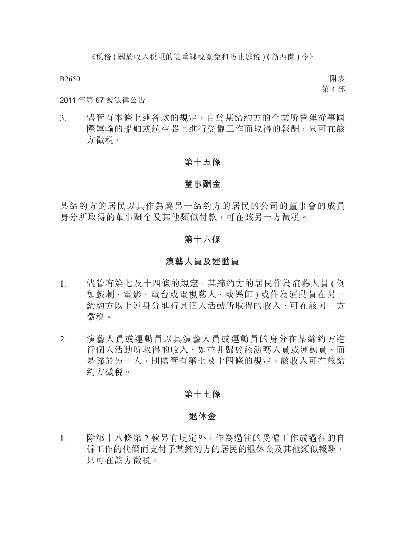附表 第 1 部

### 2011 年第 67 號法律公告

3. 儘管有本條上述各款的規定,自於某締約方的企業所營運從事國 際運輸的船舶或航空器上進行受僱工作而取得的報酬,只可在該 方徵稅。

# **第十五條**

### **董事酬金**

某締約方的居民以其作為屬另一締約方的居民的公司的董事會的成員 身分所取得的董事酬金及其他類似付款,可在該另一方徵稅。

# **第十六條**

# **演藝人員及運動員**

- 1. 儘管有第七及十四條的規定,某締約方的居民作為演藝人員 ( 例 如戲劇、電影、電台或電視藝人,或樂師 ) 或作為運動員在另一 締約方以上述身分進行其個人活動所取得的收入,可在該另一方 徵稅。
- 2. 演藝人員或運動員以其演藝人員或運動員的身分在某締約方進 行個人活動所取得的收入,如並非歸於該演藝人員或運動員,而 是歸於另一人,則儘管有第七及十四條的規定,該收入可在該締 約方徵稅。

### **第十七條**

#### **退休金**

1. 除第十八條第 2 款另有規定外,作為過往的受僱工作或過往的自 僱工作的代價而支付予某締約方的居民的退休金及其他類似報酬, 只可在該方徵稅。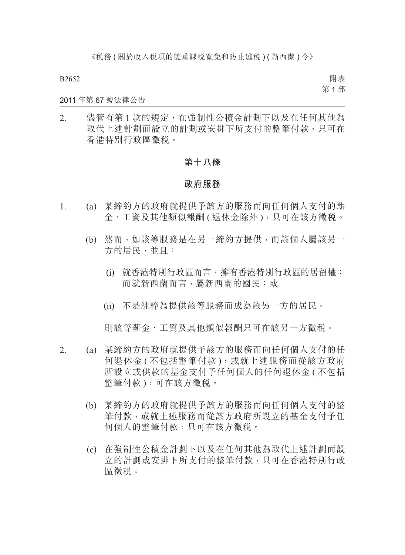附表 第 1 部

## 2011 年第 67 號法律公告

2. 儘管有第 1 款的規定,在強制性公積金計劃下以及在任何其他為 取代上述計劃而設立的計劃或安排下所支付的整筆付款,只可在 香港特別行政區徵稅。

# **第十八條**

### **政府服務**

- 1. (a) 某締約方的政府就提供予該方的服務而向任何個人支付的薪 金、工資及其他類似報酬 ( 退休金除外 ), 只可在該方徵税。
	- (b) 然而,如該等服務是在另一締約方提供,而該個人屬該另一 方的居民,並且:
		- (i) 就香港特別行政區而言,擁有香港特別行政區的居留權; 而就新西蘭而言,屬新西蘭的國民;或
		- (ii) 不是純粹為提供該等服務而成為該另一方的居民,

則該等薪金、工資及其他類似報酬只可在該另一方徵稅。

- 2. (a) 某締約方的政府就提供予該方的服務而向任何個人支付的任 何退休金 ( 不包括整筆付款 ),或就上述服務而從該方政府 所設立或供款的基金支付予任何個人的任何退休金 ( 不包括 整筆付款 ),可在該方徵稅。
	- (b) 某締約方的政府就提供予該方的服務而向任何個人支付的整 筆付款,或就上述服務而從該方政府所設立的基金支付予任 何個人的整筆付款,只可在該方徵稅。
	- (c) 在強制性公積金計劃下以及在任何其他為取代上述計劃而設 立的計劃或安排下所支付的整筆付款,只可在香港特別行政 區徵稅。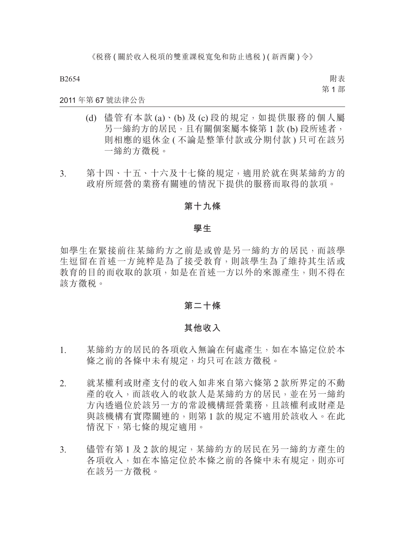附表 第 1 部

# 2011 年第 67 號法律公告

- (d) 儘管有本款 (a)、(b) 及 (c) 段的規定,如提供服務的個人屬 另一締約方的居民,且有關個案屬本條第1款(b)段所述者, 則相應的退休金 ( 不論是整筆付款或分期付款 ) 只可在該另 一締約方徵稅。
- 3. 第十四、十五、十六及十七條的規定,適用於就在與某締約方的 政府所經營的業務有關連的情況下提供的服務而取得的款項。

# **第十九條**

#### **學生**

如學生在緊接前往某締約方之前是或曾是另一締約方的居民,而該學 生逗留在首述一方純粹是為了接受教育,則該學生為了維持其生活或 教育的目的而收取的款項,如是在首述一方以外的來源產生,則不得在 該方徵稅。

# **第二十條**

### **其他收入**

- 1. 某締約方的居民的各項收入無論在何處產生,如在本協定位於本 條之前的各條中未有規定,均只可在該方徵稅。
- 2. 就某權利或財產支付的收入如非來自第六條第 2 款所界定的不動 產的收入,而該收入的收款人是某締約方的居民,並在另一締約 方內透過位於該另一方的常設機構經營業務,且該權利或財產是 與該機構有實際關連的,則第 1 款的規定不適用於該收入。在此 情況下,第七條的規定適用。
- 3. 儘管有第1及2款的規定,某締約方的居民在另一締約方產生的 各項收入,如在本協定位於本條之前的各條中未有規定,則亦可 在該另一方徵稅。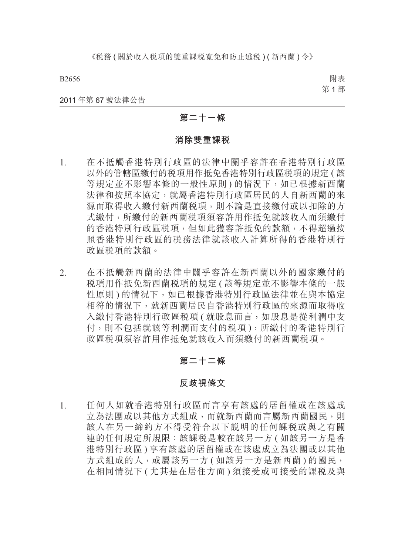附表 第 1 部

#### 2011 年第 67 號法律公告

# **第二十一條**

### **消除雙重課稅**

- 1. 在不抵觸香港特別行政區的法律中關乎容許在香港特別行政區 以外的管轄區繳付的稅項用作抵免香港特別行政區稅項的規定 ( 該 等規定並不影響本條的一般性原則) 的情況下, 如已根據新西蘭 法律和按照本協定,就屬香港特別行政區居民的人自新西蘭的來 源而取得收入繳付新西蘭稅項,則不論是直接繳付或以扣除的方 式繳付,所繳付的新西蘭税項須容許用作抵免就該收入而須繳付 的香港特別行政區稅項,但如此獲容許抵免的款額,不得超過按 照香港特別行政區的稅務法律就該收入計算所得的香港特別行 政區稅項的款額。
- 2. 在不抵觸新西蘭的法律中關乎容許在新西蘭以外的國家繳付的 稅項用作抵免新西蘭稅項的規定 ( 該等規定並不影響本條的一般 性原則)的情況下,如已根據香港特別行政區法律並在與本協定 相符的情況下,就新西蘭居民自香港特別行政區的來源而取得收 入繳付香港特別行政區税項 ( 就股息而言, 如股息是從利潤中支 付,則不包括就該等利潤而支付的稅項 ),所繳付的香港特別行 政區稅項須容許用作抵免就該收入而須繳付的新西蘭稅項。

# **第二十二條**

# **反歧視條文**

1. 任何人如就香港特別行政區而言享有該處的居留權或在該處成 立為法團或以其他方式組成,而就新西蘭而言屬新西蘭國民,則 該人在另一締約方不得受符合以下說明的任何課稅或與之有關 連的任何規定所規限:該課税是較在該另一方 (如該另一方是香 港特別行政區 ) 享有該處的居留權或在該處成立為法團或以其他 方式組成的人,或屬該另一方 (如該另一方是新西蘭) 的國民, 在相同情況下 ( 尤其是在居住方面 ) 須接受或可接受的課稅及與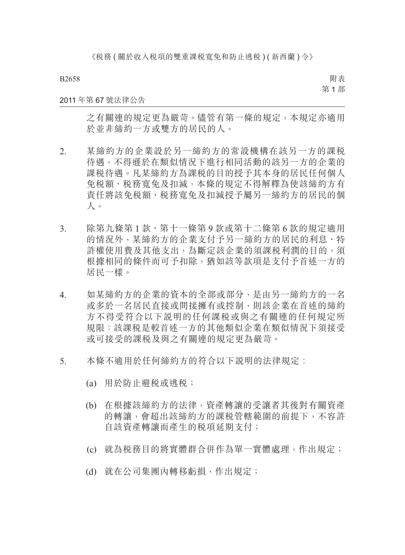附表 第 1 部

### 2011 年第 67 號法律公告

之有關連的規定更為嚴苛。儘管有第一條的規定,本規定亦適用 於並非締約一方或雙方的居民的人。

- 2. 某締約方的企業設於另一締約方的常設機構在該另一方的課稅 待遇,不得遜於在類似情況下進行相同活動的該另一方的企業的 課稅待遇。凡某締約方為課稅的目的授予其本身的居民任何個人 免稅額、稅務寬免及扣減,本條的規定不得解釋為使該締約方有 責任將該免稅額、稅務寬免及扣減授予屬另一締約方的居民的個 人。
- 3. 除第九條第 1 款、第十一條第 9 款或第十二條第 6 款的規定適用 的情況外,某締約方的企業支付予另一締約方的居民的利息、特 許權使用費及其他支出,為斷定該企業的須課稅利潤的目的,須 根據相同的條件而可予扣除,猶如該等款項是支付予首述一方的 居民一樣。
- 4. 如某締約方的企業的資本的全部或部分,是由另一締約方的一名 或多於一名居民直接或間接擁有或控制,則該企業在首述的締約 方不得受符合以下說明的任何課稅或與之有關連的任何規定所 規限:該課稅是較首述一方的其他類似企業在類似情況下須接受 或可接受的課稅及與之有關連的規定更為嚴苛。
- 5. 本條不滴用於任何締約方的符合以下説明的法律規定:
	- (a) 用於防止避稅或逃稅;
	- (b) 在根據該締約方的法律,資產轉讓的受讓者其後對有關資產 的轉讓,會超出該締約方的課稅管轄範圍的前提下,不容許 自該資產轉讓而產生的稅項延期支付;
	- (c) 就為稅務目的將實體群合併作為單一實體處理,作出規定;
	- (d) 就在公司集團內轉移虧損,作出規定;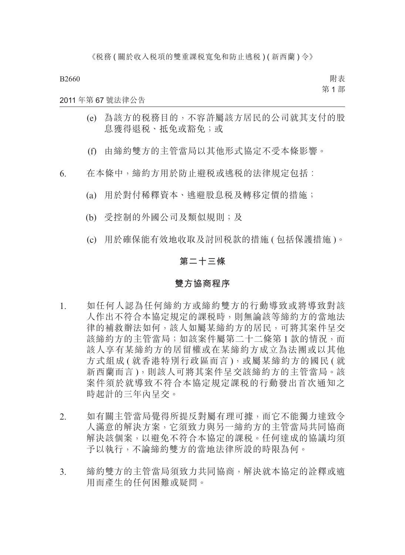附表 第 1 部

# 2011 年第 67 號法律公告

- (e) 為該方的稅務目的,不容許屬該方居民的公司就其支付的股 息獲得退稅、抵免或豁免;或
- (f) 由締約雙方的主管當局以其他形式協定不受本條影響。

6. 在本條中,締約方用於防止避税或逃税的法律規定包括:

- (a) 用於對付稀釋資本、逃避股息稅及轉移定價的措施;
- (b) 受控制的外國公司及類似規則;及
- (c) 用於確保能有效地收取及討回稅款的措施 ( 包括保護措施 )。

# **第二十三條**

#### **雙方協商程序**

- 1. 如任何人認為任何締約方或締約雙方的行動導致或將導致對該 人作出不符合本協定規定的課稅時,則無論該等締約方的當地法 律的補救辦法如何,該人如屬某締約方的居民,可將其案件呈交 該締約方的主管當局;如該案件屬第二十二條第1款的情況,而 該人享有某締約方的居留權或在某締約方成立為法團或以其他 方式組成 ( 就香港特別行政區而言 ), 或屬某締約方的國民 ( 就 新西蘭而言 ),則該人可將其案件呈交該締約方的主管當局。該 案件須於就導致不符合本協定規定課稅的行動發出首次通知之 時起計的三年內呈交。
- 2. 如有關主管當局覺得所提反對屬有理可據,而它不能獨力達致令 人滿意的解決方案,它須致力與另一締約方的主管當局共同協商 解決該個案,以避免不符合本協定的課稅。任何達成的協議均須 予以執行,不論締約雙方的當地法律所設的時限為何。
- 3. 締約雙方的主管當局須致力共同協商,解決就本協定的詮釋或適 用而產生的任何困難或疑問。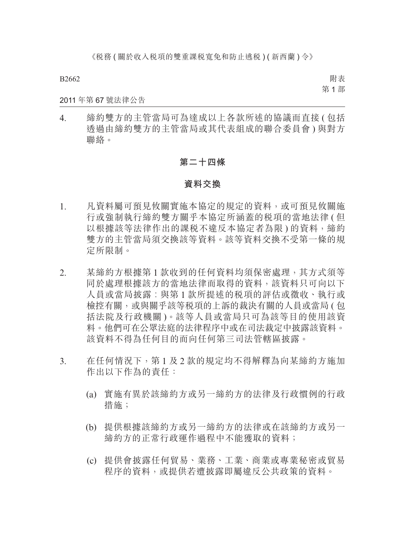附表 第 1 部

### 2011 年第 67 號法律公告

4. 締約雙方的主管當局可為達成以上各款所述的協議而直接 ( 包括 透過由締約雙方的主管當局或其代表組成的聯合委員會 ) 與對方 聯絡。

# **第二十四條**

### **資料交換**

- 1. 凡資料屬可預見攸關實施本協定的規定的資料,或可預見攸關施 行或強制執行締約雙方關乎本協定所涵蓋的稅項的當地法律 ( 但 以根據該等法律作出的課税不違反本協定者為限)的資料,締約 雙方的主管當局須交換該等資料。該等資料交換不受第一條的規 定所限制。
- 2. 某締約方根據第 1 款收到的任何資料均須保密處理,其方式須等 同於處理根據該方的當地法律而取得的資料,該資料只可向以下 人員或當局披露︰與第 1 款所提述的稅項的評估或徵收、執行或 檢控有關,或與關乎該等稅項的上訴的裁決有關的人員或當局 ( 包 括法院及行政機關 )。該等人員或當局只可為該等目的使用該資 料。他們可在公眾法庭的法律程序中或在司法裁定中披露該資料。 該資料不得為任何目的而向任何第三司法管轄區披露。
- 3. 在任何情況下,第1及2款的規定均不得解釋為向某締約方施加 作出以下作為的責任:
	- (a) 實施有異於該締約方或另一締約方的法律及行政慣例的行政 措施;
	- (b) 提供根據該締約方或另一締約方的法律或在該締約方或另一 締約方的正常行政運作過程中不能獲取的資料;
	- (c) 提供會披露任何貿易、業務、工業、商業或專業秘密或貿易 程序的資料,或提供若遭披露即屬違反公共政策的資料。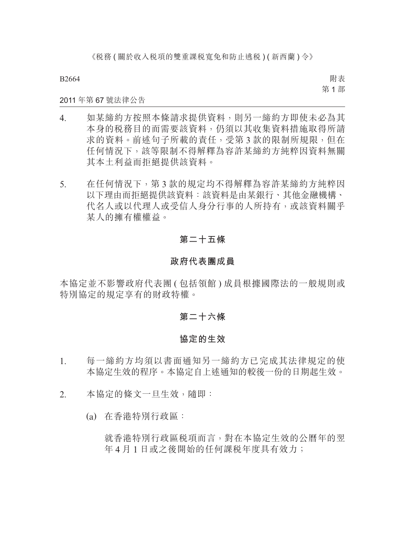《税務(關於收入税項的雙重課税寬免和防止逃税)(新西蘭)令》

B2664

附表 第 1 部

# 2011 年第 67 號法律公告

- 4. 如某締約方按照本條請求提供資料,則另一締約方即使未必為其 本身的稅務目的而需要該資料,仍須以其收集資料措施取得所請 求的資料。前述句子所載的責任,受第3款的限制所規限,但在 任何情況下,該等限制不得解釋為容許某締約方純粹因資料無關 其本土利益而拒絕提供該資料。
- 5. 在任何情況下,第 3 款的規定均不得解釋為容許某締約方純粹因 以下理由而拒絕提供該資料:該資料是由某銀行、其他金融機構、 代名人或以代理人或受信人身分行事的人所持有,或該資料關乎 某人的擁有權權益。

# **第二十五條**

### **政府代表團成員**

本協定並不影響政府代表團 ( 包括領館 ) 成員根據國際法的一般規則或 特別協定的規定享有的財政特權。

# **第二十六條**

# **協定的生效**

- 1. 每一締約方均須以書面通知另一締約方已完成其法律規定的使 本協定生效的程序。本協定自上述通知的較後一份的日期起生效。
- 2. 本協定的條文一旦生效,隨即:
	- (a) 在香港特別行政區:

就香港特別行政區税項而言,對在本協定生效的公曆年的翌 年 4 月 1 日或之後開始的任何課税年度具有效力;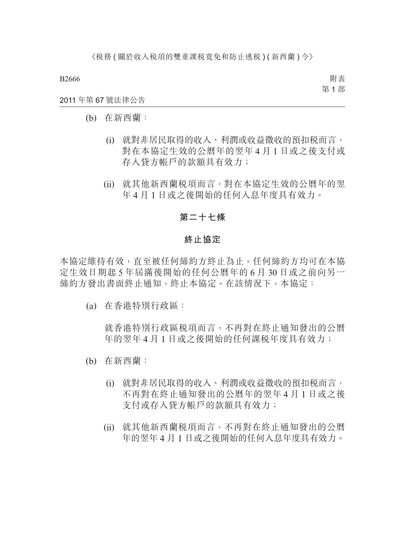附表 第 1 部

### 2011 年第 67 號法律公告

- (b) 在新西蘭:
	- (i) 就對非居民取得的收入、利潤或收益徵收的預扣稅而言, 對在本協定生效的公曆年的翌年 4 月 1 日或之後支付或 存入貸方帳戶的款額具有效力;
	- (ii) 就其他新西蘭稅項而言,對在本協定生效的公曆年的翌 年 4 月 1 日或之後開始的任何入息年度具有效力。

# **第二十七條**

### **終止協定**

本協定維持有效,直至被任何締約方終止為止。任何締約方均可在本協 定生效日期起 5 年屆滿後開始的任何公曆年的 6 月 30 日或之前向另一 締約方發出書面終止通知,終止本協定。在該情況下,本協定:

(a) 在香港特別行政區:

就香港特別行政區稅項而言,不再對在終止通知發出的公曆 年的翌年 4 月 1 日或之後開始的任何課稅年度具有效力;

- (b) 在新西蘭:
	- (i) 就對非居民取得的收入、利潤或收益徵收的預扣稅而言, 不再對在終止通知發出的公曆年的翌年 4 月 1 日或之後 支付或存入貸方帳戶的款額具有效力;
	- (ii) 就其他新西蘭稅項而言,不再對在終止通知發出的公曆 年的翌年 4 月 1 日或之後開始的任何入息年度具有效力。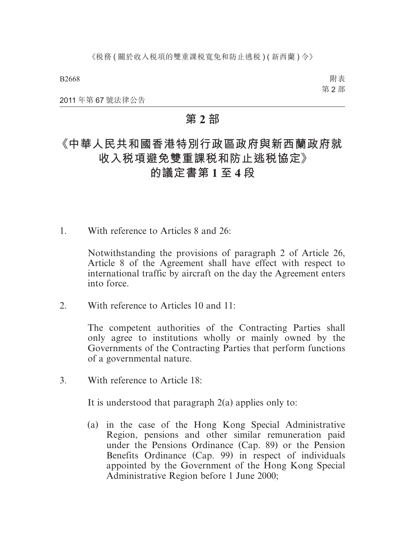附表 第 2 部

2011 年第 67 號法律公告

## **第 2 部**

# **《中華人民共和國香港特別行政區政府與新西蘭政府就 收入稅項避免雙重課稅和防止逃稅協定》**

## **的議定書第 1 至 4 段**

1. With reference to Articles 8 and 26:

Notwithstanding the provisions of paragraph 2 of Article 26, Article 8 of the Agreement shall have effect with respect to international traffic by aircraft on the day the Agreement enters into force.

2. With reference to Articles 10 and  $11<sup>1</sup>$ 

The competent authorities of the Contracting Parties shall only agree to institutions wholly or mainly owned by the Governments of the Contracting Parties that perform functions of a governmental nature.

3. With reference to Article 18:

It is understood that paragraph  $2(a)$  applies only to:

(a) in the case of the Hong Kong Special Administrative Region, pensions and other similar remuneration paid under the Pensions Ordinance (Cap. 89) or the Pension Benefits Ordinance (Cap. 99) in respect of individuals appointed by the Government of the Hong Kong Special Administrative Region before 1 June 2000;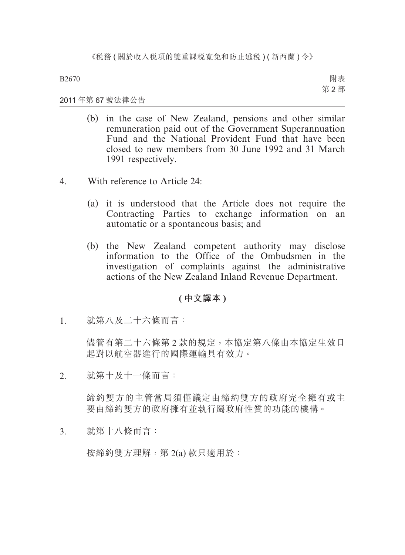附表 第 2 部

### 2011 年第 67 號法律公告

- (b) in the case of New Zealand, pensions and other similar remuneration paid out of the Government Superannuation Fund and the National Provident Fund that have been closed to new members from 30 June 1992 and 31 March 1991 respectively.
- 4. With reference to Article 24:
	- (a) it is understood that the Article does not require the Contracting Parties to exchange information on an automatic or a spontaneous basis; and
	- (b) the New Zealand competent authority may disclose information to the Office of the Ombudsmen in the investigation of complaints against the administrative actions of the New Zealand Inland Revenue Department.

### **( 中文譯本 )**

1. 就第八及二十六條而言:

儘管有第二十六條第 2 款的規定,本協定第八條由本協定生效日 起對以航空器進行的國際運輸具有效力。

2. 就第十及十一條而言:

締約雙方的主管當局須僅議定由締約雙方的政府完全擁有或主 要由締約雙方的政府擁有並執行屬政府性質的功能的機構。

3. 就第十八條而言:

按締約雙方理解,第 2(a) 款只適用於: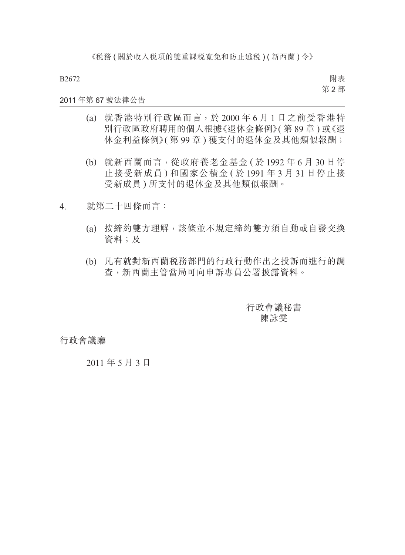附表 第 2 部

#### 2011 年第 67 號法律公告

- (a) 就香港特別行政區而言,於 2000 年 6 月 1 日之前受香港特 別行政區政府聘用的個人根據《退休金條例》( 第 89 章 ) 或《退 休金利益條例》( 第 99 章 ) 獲支付的退休金及其他類似報酬;
- (b) 就新西蘭而言,從政府養老金基金 ( 於 1992 年 6 月 30 日停 止接受新成員 ) 和國家公積金 ( 於 1991 年 3 月 31 日停止接 受新成員 ) 所支付的退休金及其他類似報酬。
- 4. 就第二十四條而言:
	- (a) 按締約雙方理解,該條並不規定締約雙方須自動或自發交換 資料;及
	- (b) 凡有就對新西蘭稅務部門的行政行動作出之投訴而進行的調 查,新西蘭主管當局可向申訴專員公署披露資料。

行政會議秘書 陳詠雯

行政會議廳

2011 年 5 月 3 日